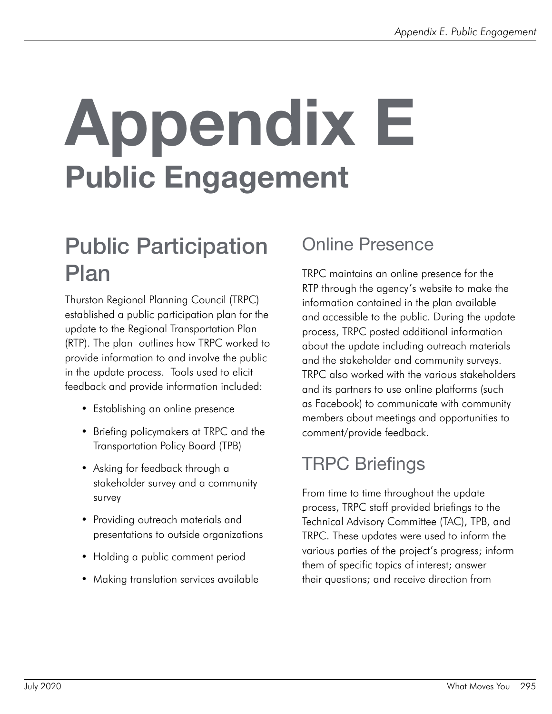# Appendix E Public Engagement

# Public Participation Plan

Thurston Regional Planning Council (TRPC) established a public participation plan for the update to the Regional Transportation Plan (RTP). The plan outlines how TRPC worked to provide information to and involve the public in the update process. Tools used to elicit feedback and provide information included:

- Establishing an online presence
- Briefing policymakers at TRPC and the Transportation Policy Board (TPB)
- Asking for feedback through a stakeholder survey and a community survey
- Providing outreach materials and presentations to outside organizations
- Holding a public comment period
- Making translation services available

### Online Presence

TRPC maintains an online presence for the RTP through the agency's website to make the information contained in the plan available and accessible to the public. During the update process, TRPC posted additional information about the update including outreach materials and the stakeholder and community surveys. TRPC also worked with the various stakeholders and its partners to use online platforms (such as Facebook) to communicate with community members about meetings and opportunities to comment/provide feedback.

### TRPC Briefings

From time to time throughout the update process, TRPC staff provided briefings to the Technical Advisory Committee (TAC), TPB, and TRPC. These updates were used to inform the various parties of the project's progress; inform them of specific topics of interest; answer their questions; and receive direction from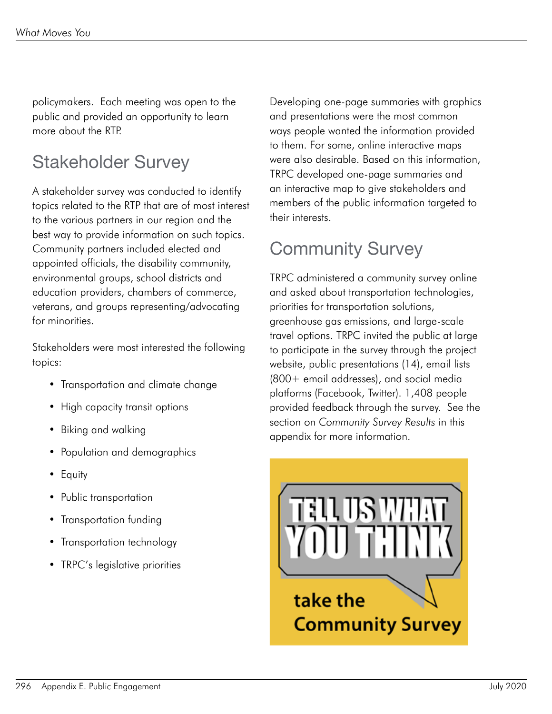policymakers. Each meeting was open to the public and provided an opportunity to learn more about the RTP.

### Stakeholder Survey

A stakeholder survey was conducted to identify topics related to the RTP that are of most interest to the various partners in our region and the best way to provide information on such topics. Community partners included elected and appointed officials, the disability community, environmental groups, school districts and education providers, chambers of commerce, veterans, and groups representing/advocating for minorities.

Stakeholders were most interested the following topics:

- Transportation and climate change
- High capacity transit options
- Biking and walking
- Population and demographics
- Equity
- Public transportation
- Transportation funding
- Transportation technology
- TRPC's legislative priorities

Developing one-page summaries with graphics and presentations were the most common ways people wanted the information provided to them. For some, online interactive maps were also desirable. Based on this information, TRPC developed one-page summaries and an interactive map to give stakeholders and members of the public information targeted to their interests.

### Community Survey

TRPC administered a community survey online and asked about transportation technologies, priorities for transportation solutions, greenhouse gas emissions, and large-scale travel options. TRPC invited the public at large to participate in the survey through the project website, public presentations (14), email lists (800+ email addresses), and social media platforms (Facebook, Twitter). 1,408 people provided feedback through the survey. See the section on *Community Survey Results* in this appendix for more information.

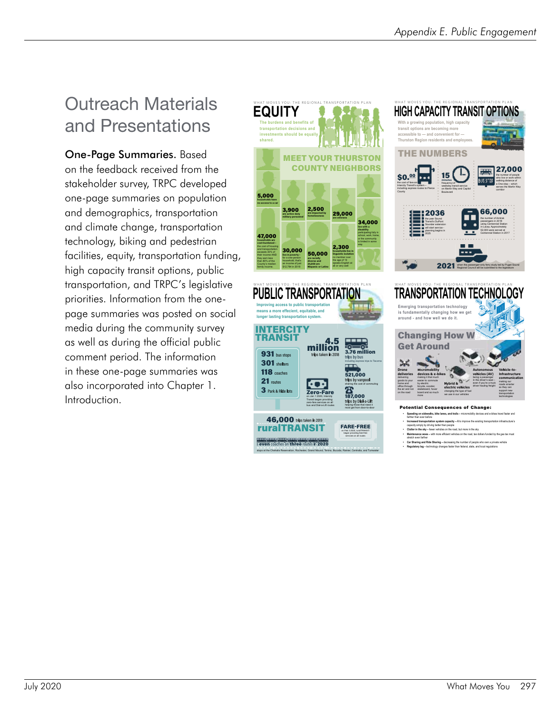### Outreach Materials and Presentations

One-Page Summaries. Based on the feedback received from the stakeholder survey, TRPC developed one-page summaries on population and demographics, transportation and climate change, transportation technology, biking and pedestrian facilities, equity, transportation funding, high capacity transit options, public transportation, and TRPC's legislative priorities. Information from the onepage summaries was posted on social media during the community survey as well as during the official public comment period. The information in these one-page summaries was also incorporated into Chapter 1. Introduction.

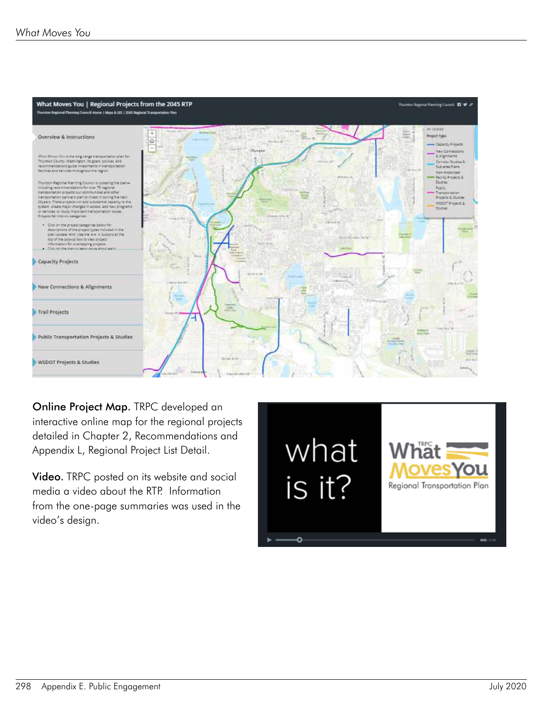

Online Project Map. TRPC developed an interactive online map for the regional projects detailed in Chapter 2, Recommendations and Appendix L, Regional Project List Detail.

Video. TRPC posted on its website and social media a video about the RTP. Information from the one-page summaries was used in the video's design.

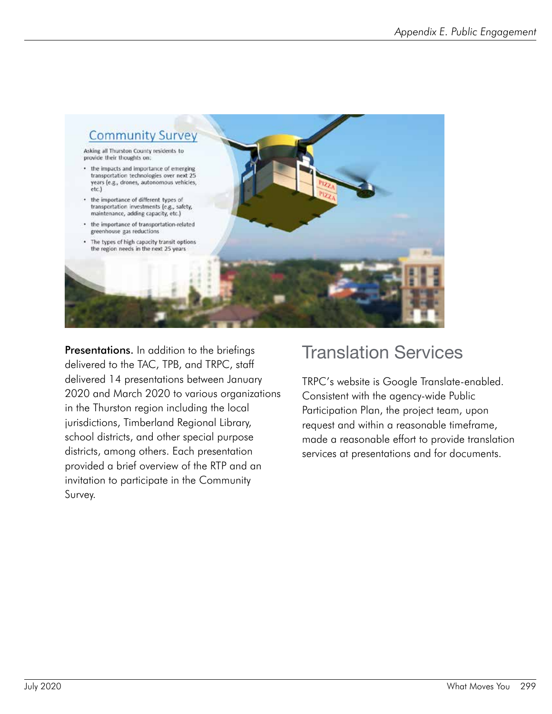

**Presentations.** In addition to the briefings delivered to the TAC, TPB, and TRPC, staff delivered 14 presentations between January 2020 and March 2020 to various organizations in the Thurston region including the local jurisdictions, Timberland Regional Library, school districts, and other special purpose districts, among others. Each presentation provided a brief overview of the RTP and an invitation to participate in the Community Survey.

### Translation Services

TRPC's website is Google Translate-enabled. Consistent with the agency-wide Public Participation Plan, the project team, upon request and within a reasonable timeframe, made a reasonable effort to provide translation services at presentations and for documents.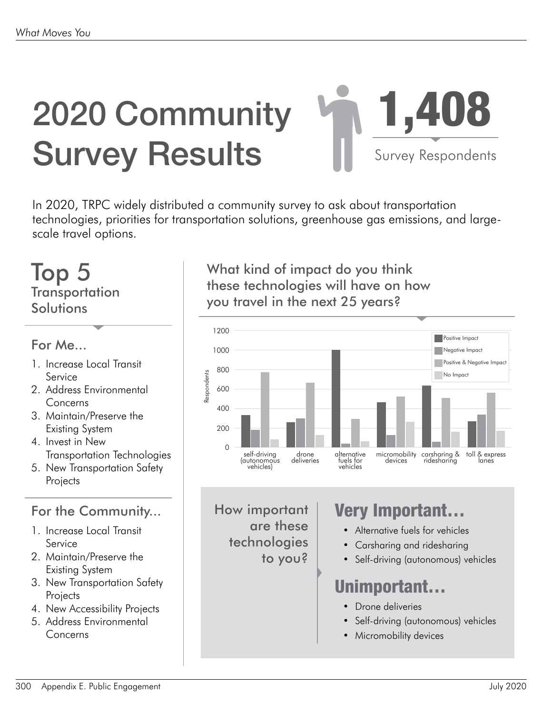# 2020 Community Survey Results



In 2020, TRPC widely distributed a community survey to ask about transportation technologies, priorities for transportation solutions, greenhouse gas emissions, and largescale travel options.

### Top 5 **Transportation Solutions**

### For Me...

- 1. Increase Local Transit Service
- 2. Address Environmental Concerns
- 3. Maintain/Preserve the Existing System
- 4. Invest in New Transportation Technologies
- 5. New Transportation Safety **Projects**

### For the Community...

- 1. Increase Local Transit Service
- 2. Maintain/Preserve the Existing System
- 3. New Transportation Safety **Projects**
- 4. New Accessibility Projects
- 5. Address Environmental Concerns

What kind of impact do you think these technologies will have on how you travel in the next 25 years?



How important are these technologies to you?

### Very Important…

- Alternative fuels for vehicles
- Carsharing and ridesharing
- Self-driving (autonomous) vehicles

### **Unimportant**

- Drone deliveries
- Self-driving (autonomous) vehicles
- Micromobility devices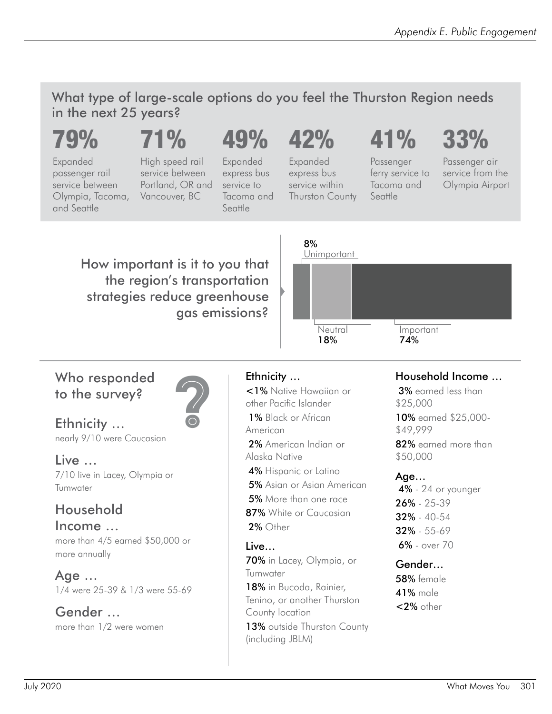What type of large-scale options do you feel the Thurston Region needs in the next 25 years?

## 79%

# 71%

Expanded passenger rail service between Olympia, Tacoma, and Seattle

High speed rail service between Portland, OR and Vancouver, BC

# 49% 42%

Expanded express bus service to Tacoma and Seattle

Expanded express bus service within Thurston County

# 41%

Passenger

Tacoma and Seattle

ferry service to Passenger air service from the Olympia Airport

33%

How important is it to you that the region's transportation strategies reduce greenhouse gas emissions?



### Who responded to the survey?



Ethnicity … nearly 9/10 were Caucasian

Live … 7/10 live in Lacey, Olympia or

### Household

Tumwater

Income … more than 4/5 earned \$50,000 or more annually

Age … 1/4 were 25-39 & 1/3 were 55-69

Gender … more than 1/2 were women



Ethnicity ...<br>
<1% Native<br>
other Pacific I<br>
1% Black or<br>
American<br>
2% American <1% Native Hawaiian or other Pacific Islander 1% Black or African American

- 2% American Indian or Alaska Native
- 4% Hispanic or Latino
- 5% Asian or Asian American
- 5% More than one race
- 87% White or Caucasian
- 2% Other

### Live…

70% in Lacey, Olympia, or Tumwater

18% in Bucoda, Rainier, Tenino, or another Thurston County location

13% outside Thurston County (including JBLM)

### Household Income …

 3% earned less than \$25,000 10% earned \$25,000- \$49,999

82% earned more than \$50,000

### Age…

 4% - 24 or younger 26% - 25-39 32% - 40-54 32% - 55-69 6% - over 70

### Gender…

58% female 41% male <2% other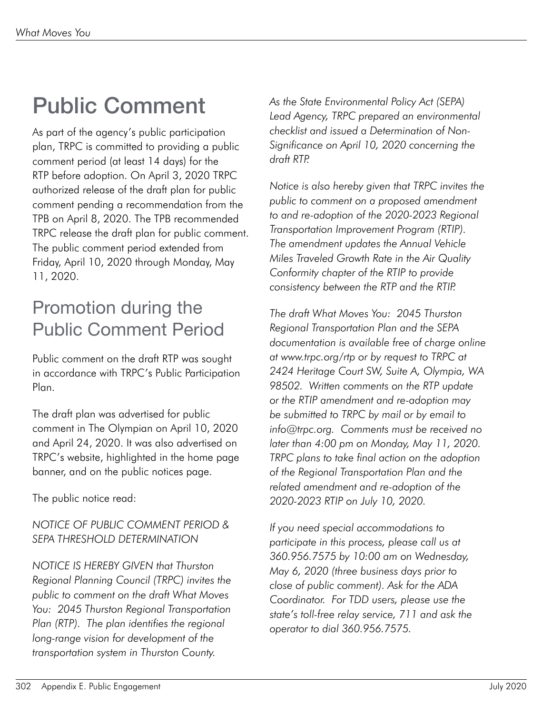# Public Comment

As part of the agency's public participation plan, TRPC is committed to providing a public comment period (at least 14 days) for the RTP before adoption. On April 3, 2020 TRPC authorized release of the draft plan for public comment pending a recommendation from the TPB on April 8, 2020. The TPB recommended TRPC release the draft plan for public comment. The public comment period extended from Friday, April 10, 2020 through Monday, May 11, 2020.

### Promotion during the Public Comment Period

Public comment on the draft RTP was sought in accordance with TRPC's Public Participation Plan.

The draft plan was advertised for public comment in The Olympian on April 10, 2020 and April 24, 2020. It was also advertised on TRPC's website, highlighted in the home page banner, and on the public notices page.

The public notice read:

### *NOTICE OF PUBLIC COMMENT PERIOD & SEPA THRESHOLD DETERMINATION*

*NOTICE IS HEREBY GIVEN that Thurston Regional Planning Council (TRPC) invites the public to comment on the draft What Moves You: 2045 Thurston Regional Transportation Plan (RTP). The plan identifies the regional long-range vision for development of the transportation system in Thurston County.* 

*As the State Environmental Policy Act (SEPA) Lead Agency, TRPC prepared an environmental checklist and issued a Determination of Non-Significance on April 10, 2020 concerning the draft RTP.* 

*Notice is also hereby given that TRPC invites the public to comment on a proposed amendment to and re-adoption of the 2020-2023 Regional Transportation Improvement Program (RTIP). The amendment updates the Annual Vehicle Miles Traveled Growth Rate in the Air Quality Conformity chapter of the RTIP to provide consistency between the RTP and the RTIP.* 

*The draft What Moves You: 2045 Thurston Regional Transportation Plan and the SEPA documentation is available free of charge online at www.trpc.org/rtp or by request to TRPC at 2424 Heritage Court SW, Suite A, Olympia, WA 98502. Written comments on the RTP update or the RTIP amendment and re-adoption may be submitted to TRPC by mail or by email to info@trpc.org. Comments must be received no later than 4:00 pm on Monday, May 11, 2020. TRPC plans to take final action on the adoption of the Regional Transportation Plan and the related amendment and re-adoption of the 2020-2023 RTIP on July 10, 2020.*

*If you need special accommodations to participate in this process, please call us at 360.956.7575 by 10:00 am on Wednesday, May 6, 2020 (three business days prior to close of public comment). Ask for the ADA Coordinator. For TDD users, please use the state's toll-free relay service, 711 and ask the operator to dial 360.956.7575.*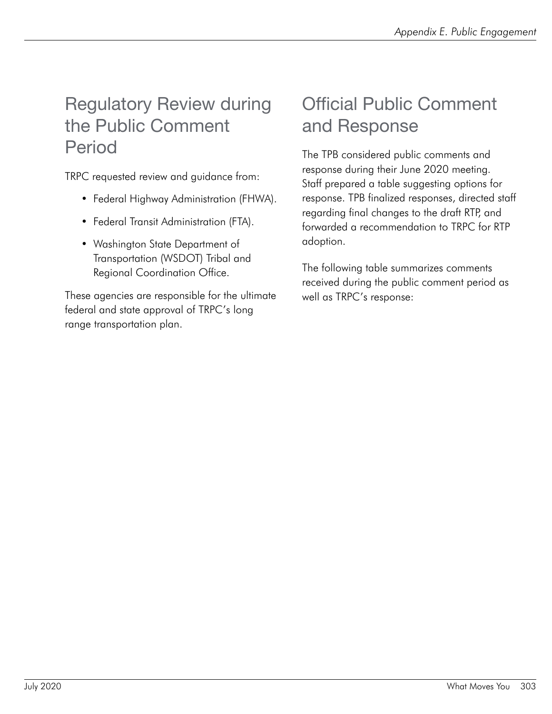### Regulatory Review during the Public Comment Period

TRPC requested review and guidance from:

- Federal Highway Administration (FHWA).
- Federal Transit Administration (FTA).
- Washington State Department of Transportation (WSDOT) Tribal and Regional Coordination Office.

These agencies are responsible for the ultimate federal and state approval of TRPC's long range transportation plan.

### Official Public Comment and Response

The TPB considered public comments and response during their June 2020 meeting. Staff prepared a table suggesting options for response. TPB finalized responses, directed staff regarding final changes to the draft RTP, and forwarded a recommendation to TRPC for RTP adoption.

The following table summarizes comments received during the public comment period as well as TRPC's response: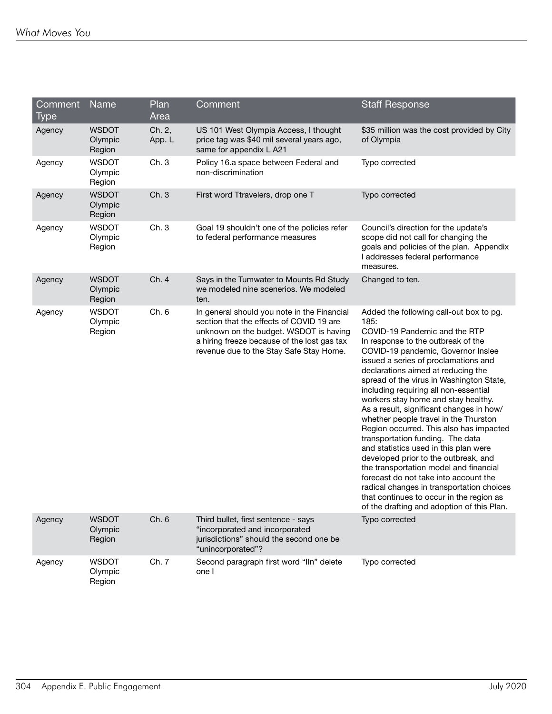| Comment | Name                              | Plan             | Comment                                                                                                                                                                                                                     | <b>Staff Response</b>                                                                                                                                                                                                                                                                                                                                                                                                                                                                                                                                                                                                                                                                                                                                                                                                                                 |
|---------|-----------------------------------|------------------|-----------------------------------------------------------------------------------------------------------------------------------------------------------------------------------------------------------------------------|-------------------------------------------------------------------------------------------------------------------------------------------------------------------------------------------------------------------------------------------------------------------------------------------------------------------------------------------------------------------------------------------------------------------------------------------------------------------------------------------------------------------------------------------------------------------------------------------------------------------------------------------------------------------------------------------------------------------------------------------------------------------------------------------------------------------------------------------------------|
| Type    |                                   | Area             |                                                                                                                                                                                                                             |                                                                                                                                                                                                                                                                                                                                                                                                                                                                                                                                                                                                                                                                                                                                                                                                                                                       |
| Agency  | <b>WSDOT</b><br>Olympic<br>Region | Ch. 2,<br>App. L | US 101 West Olympia Access, I thought<br>price tag was \$40 mil several years ago,<br>same for appendix L A21                                                                                                               | \$35 million was the cost provided by City<br>of Olympia                                                                                                                                                                                                                                                                                                                                                                                                                                                                                                                                                                                                                                                                                                                                                                                              |
| Agency  | <b>WSDOT</b><br>Olympic<br>Region | Ch. 3            | Policy 16.a space between Federal and<br>non-discrimination                                                                                                                                                                 | Typo corrected                                                                                                                                                                                                                                                                                                                                                                                                                                                                                                                                                                                                                                                                                                                                                                                                                                        |
| Agency  | <b>WSDOT</b><br>Olympic<br>Region | Ch. 3            | First word Ttravelers, drop one T                                                                                                                                                                                           | Typo corrected                                                                                                                                                                                                                                                                                                                                                                                                                                                                                                                                                                                                                                                                                                                                                                                                                                        |
| Agency  | <b>WSDOT</b><br>Olympic<br>Region | Ch. 3            | Goal 19 shouldn't one of the policies refer<br>to federal performance measures                                                                                                                                              | Council's direction for the update's<br>scope did not call for changing the<br>goals and policies of the plan. Appendix<br>I addresses federal performance<br>measures.                                                                                                                                                                                                                                                                                                                                                                                                                                                                                                                                                                                                                                                                               |
| Agency  | <b>WSDOT</b><br>Olympic<br>Region | Ch. 4            | Says in the Tumwater to Mounts Rd Study<br>we modeled nine scenerios. We modeled<br>ten.                                                                                                                                    | Changed to ten.                                                                                                                                                                                                                                                                                                                                                                                                                                                                                                                                                                                                                                                                                                                                                                                                                                       |
| Agency  | <b>WSDOT</b><br>Olympic<br>Region | Ch. 6            | In general should you note in the Financial<br>section that the effects of COVID 19 are<br>unknown on the budget. WSDOT is having<br>a hiring freeze because of the lost gas tax<br>revenue due to the Stay Safe Stay Home. | Added the following call-out box to pg.<br>185:<br>COVID-19 Pandemic and the RTP<br>In response to the outbreak of the<br>COVID-19 pandemic, Governor Inslee<br>issued a series of proclamations and<br>declarations aimed at reducing the<br>spread of the virus in Washington State,<br>including requiring all non-essential<br>workers stay home and stay healthy.<br>As a result, significant changes in how/<br>whether people travel in the Thurston<br>Region occurred. This also has impacted<br>transportation funding. The data<br>and statistics used in this plan were<br>developed prior to the outbreak, and<br>the transportation model and financial<br>forecast do not take into account the<br>radical changes in transportation choices<br>that continues to occur in the region as<br>of the drafting and adoption of this Plan. |
| Agency  | <b>WSDOT</b><br>Olympic<br>Region | Ch. 6            | Third bullet, first sentence - says<br>"incorporated and incorporated<br>jurisdictions" should the second one be<br>"unincorporated"?                                                                                       | Typo corrected                                                                                                                                                                                                                                                                                                                                                                                                                                                                                                                                                                                                                                                                                                                                                                                                                                        |
| Agency  | <b>WSDOT</b><br>Olympic<br>Region | Ch. 7            | Second paragraph first word "Iln" delete<br>one I                                                                                                                                                                           | Typo corrected                                                                                                                                                                                                                                                                                                                                                                                                                                                                                                                                                                                                                                                                                                                                                                                                                                        |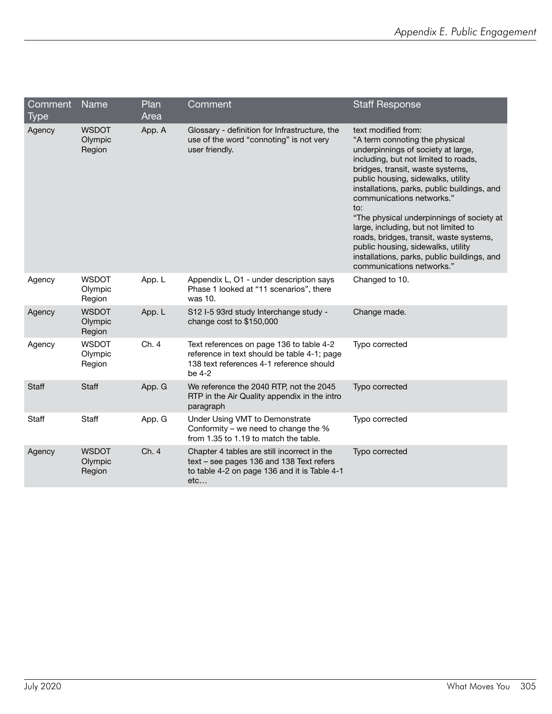| Comment<br>Type | Name                              | Plan<br>Area | Comment                                                                                                                                        | <b>Staff Response</b>                                                                                                                                                                                                                                                                                                                                                                                                                                                                                                                              |
|-----------------|-----------------------------------|--------------|------------------------------------------------------------------------------------------------------------------------------------------------|----------------------------------------------------------------------------------------------------------------------------------------------------------------------------------------------------------------------------------------------------------------------------------------------------------------------------------------------------------------------------------------------------------------------------------------------------------------------------------------------------------------------------------------------------|
| Agency          | <b>WSDOT</b><br>Olympic<br>Region | App. A       | Glossary - definition for Infrastructure, the<br>use of the word "connoting" is not very<br>user friendly.                                     | text modified from:<br>"A term connoting the physical<br>underpinnings of society at large,<br>including, but not limited to roads,<br>bridges, transit, waste systems,<br>public housing, sidewalks, utility<br>installations, parks, public buildings, and<br>communications networks."<br>to:<br>"The physical underpinnings of society at<br>large, including, but not limited to<br>roads, bridges, transit, waste systems,<br>public housing, sidewalks, utility<br>installations, parks, public buildings, and<br>communications networks." |
| Agency          | <b>WSDOT</b><br>Olympic<br>Region | App. L       | Appendix L, O1 - under description says<br>Phase 1 looked at "11 scenarios", there<br>was 10.                                                  | Changed to 10.                                                                                                                                                                                                                                                                                                                                                                                                                                                                                                                                     |
| Agency          | <b>WSDOT</b><br>Olympic<br>Region | App. L       | S12 I-5 93rd study Interchange study -<br>change cost to \$150,000                                                                             | Change made.                                                                                                                                                                                                                                                                                                                                                                                                                                                                                                                                       |
| Agency          | <b>WSDOT</b><br>Olympic<br>Region | Ch. 4        | Text references on page 136 to table 4-2<br>reference in text should be table 4-1; page<br>138 text references 4-1 reference should<br>be 4-2  | Typo corrected                                                                                                                                                                                                                                                                                                                                                                                                                                                                                                                                     |
| Staff           | Staff                             | App. G       | We reference the 2040 RTP, not the 2045<br>RTP in the Air Quality appendix in the intro<br>paragraph                                           | Typo corrected                                                                                                                                                                                                                                                                                                                                                                                                                                                                                                                                     |
| Staff           | Staff                             | App. G       | Under Using VMT to Demonstrate<br>Conformity – we need to change the $%$<br>from 1.35 to 1.19 to match the table.                              | Typo corrected                                                                                                                                                                                                                                                                                                                                                                                                                                                                                                                                     |
| Agency          | <b>WSDOT</b><br>Olympic<br>Region | Ch. 4        | Chapter 4 tables are still incorrect in the<br>text - see pages 136 and 138 Text refers<br>to table 4-2 on page 136 and it is Table 4-1<br>etc | Typo corrected                                                                                                                                                                                                                                                                                                                                                                                                                                                                                                                                     |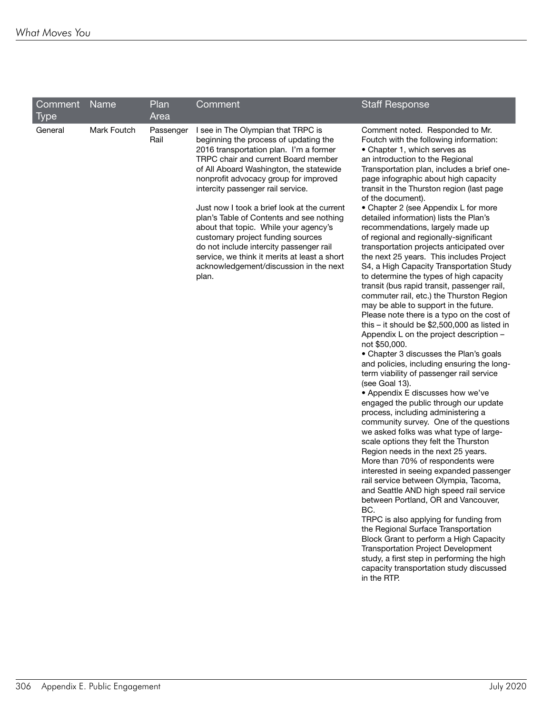| Comment<br>Type | Name        | Plan<br>Area      | Comment                                                                                                                                                                                                                                                                                                                                                                                                                                                                                                                                                                                                      | <b>Staff Response</b>                                                                                                                                                                                                                                                                                                                                                                                                                                                                                                                                                                                                                                                                                                                                                                                                                                                                                                                                                                                                                                                                                                                                                                                                                                                                                                                                                                                                                                                                                                                                                                                                                                                                                                                                                                                                                                                                          |
|-----------------|-------------|-------------------|--------------------------------------------------------------------------------------------------------------------------------------------------------------------------------------------------------------------------------------------------------------------------------------------------------------------------------------------------------------------------------------------------------------------------------------------------------------------------------------------------------------------------------------------------------------------------------------------------------------|------------------------------------------------------------------------------------------------------------------------------------------------------------------------------------------------------------------------------------------------------------------------------------------------------------------------------------------------------------------------------------------------------------------------------------------------------------------------------------------------------------------------------------------------------------------------------------------------------------------------------------------------------------------------------------------------------------------------------------------------------------------------------------------------------------------------------------------------------------------------------------------------------------------------------------------------------------------------------------------------------------------------------------------------------------------------------------------------------------------------------------------------------------------------------------------------------------------------------------------------------------------------------------------------------------------------------------------------------------------------------------------------------------------------------------------------------------------------------------------------------------------------------------------------------------------------------------------------------------------------------------------------------------------------------------------------------------------------------------------------------------------------------------------------------------------------------------------------------------------------------------------------|
| General         | Mark Foutch | Passenger<br>Rail | I see in The Olympian that TRPC is<br>beginning the process of updating the<br>2016 transportation plan. I'm a former<br>TRPC chair and current Board member<br>of All Aboard Washington, the statewide<br>nonprofit advocacy group for improved<br>intercity passenger rail service.<br>Just now I took a brief look at the current<br>plan's Table of Contents and see nothing<br>about that topic. While your agency's<br>customary project funding sources<br>do not include intercity passenger rail<br>service, we think it merits at least a short<br>acknowledgement/discussion in the next<br>plan. | Comment noted. Responded to Mr.<br>Foutch with the following information:<br>• Chapter 1, which serves as<br>an introduction to the Regional<br>Transportation plan, includes a brief one-<br>page infographic about high capacity<br>transit in the Thurston region (last page<br>of the document).<br>• Chapter 2 (see Appendix L for more<br>detailed information) lists the Plan's<br>recommendations, largely made up<br>of regional and regionally-significant<br>transportation projects anticipated over<br>the next 25 years. This includes Project<br>S4, a High Capacity Transportation Study<br>to determine the types of high capacity<br>transit (bus rapid transit, passenger rail,<br>commuter rail, etc.) the Thurston Region<br>may be able to support in the future.<br>Please note there is a typo on the cost of<br>this - it should be \$2,500,000 as listed in<br>Appendix L on the project description -<br>not \$50,000.<br>• Chapter 3 discusses the Plan's goals<br>and policies, including ensuring the long-<br>term viability of passenger rail service<br>(see Goal 13).<br>• Appendix E discusses how we've<br>engaged the public through our update<br>process, including administering a<br>community survey. One of the questions<br>we asked folks was what type of large-<br>scale options they felt the Thurston<br>Region needs in the next 25 years.<br>More than 70% of respondents were<br>interested in seeing expanded passenger<br>rail service between Olympia, Tacoma,<br>and Seattle AND high speed rail service<br>between Portland, OR and Vancouver,<br>BC.<br>TRPC is also applying for funding from<br>the Regional Surface Transportation<br>Block Grant to perform a High Capacity<br><b>Transportation Project Development</b><br>study, a first step in performing the high<br>capacity transportation study discussed<br>in the RTP. |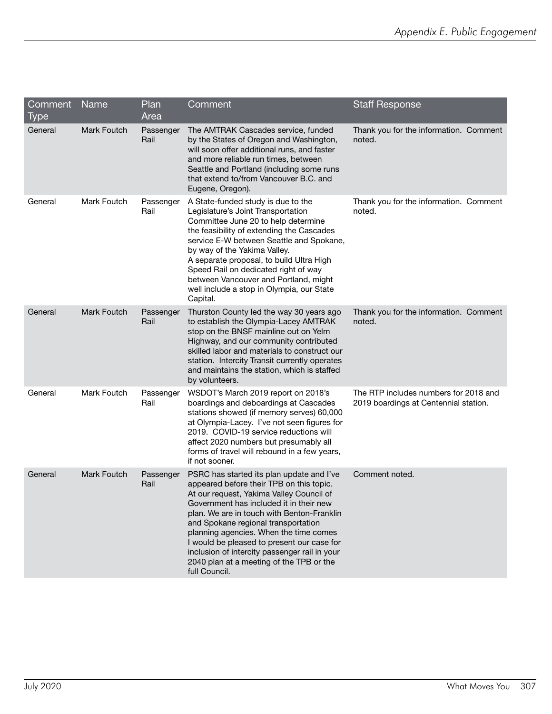| Comment Name<br>Type |                    | Plan<br>Area      | Comment                                                                                                                                                                                                                                                                                                                                                                                                                                                                 | <b>Staff Response</b>                                                          |
|----------------------|--------------------|-------------------|-------------------------------------------------------------------------------------------------------------------------------------------------------------------------------------------------------------------------------------------------------------------------------------------------------------------------------------------------------------------------------------------------------------------------------------------------------------------------|--------------------------------------------------------------------------------|
| General              | <b>Mark Foutch</b> | Passenger<br>Rail | The AMTRAK Cascades service, funded<br>by the States of Oregon and Washington,<br>will soon offer additional runs, and faster<br>and more reliable run times, between<br>Seattle and Portland (including some runs<br>that extend to/from Vancouver B.C. and<br>Eugene, Oregon).                                                                                                                                                                                        | Thank you for the information. Comment<br>noted.                               |
| General              | Mark Foutch        | Passenger<br>Rail | A State-funded study is due to the<br>Legislature's Joint Transportation<br>Committee June 20 to help determine<br>the feasibility of extending the Cascades<br>service E-W between Seattle and Spokane,<br>by way of the Yakima Valley.<br>A separate proposal, to build Ultra High<br>Speed Rail on dedicated right of way<br>between Vancouver and Portland, might<br>well include a stop in Olympia, our State<br>Capital.                                          | Thank you for the information. Comment<br>noted.                               |
| General              | <b>Mark Foutch</b> | Passenger<br>Rail | Thurston County led the way 30 years ago<br>to establish the Olympia-Lacey AMTRAK<br>stop on the BNSF mainline out on Yelm<br>Highway, and our community contributed<br>skilled labor and materials to construct our<br>station. Intercity Transit currently operates<br>and maintains the station, which is staffed<br>by volunteers.                                                                                                                                  | Thank you for the information. Comment<br>noted.                               |
| General              | Mark Foutch        | Passenger<br>Rail | WSDOT's March 2019 report on 2018's<br>boardings and deboardings at Cascades<br>stations showed (if memory serves) 60,000<br>at Olympia-Lacey. I've not seen figures for<br>2019. COVID-19 service reductions will<br>affect 2020 numbers but presumably all<br>forms of travel will rebound in a few years,<br>if not sooner.                                                                                                                                          | The RTP includes numbers for 2018 and<br>2019 boardings at Centennial station. |
| General              | Mark Foutch        | Passenger<br>Rail | PSRC has started its plan update and I've<br>appeared before their TPB on this topic.<br>At our request, Yakima Valley Council of<br>Government has included it in their new<br>plan. We are in touch with Benton-Franklin<br>and Spokane regional transportation<br>planning agencies. When the time comes<br>I would be pleased to present our case for<br>inclusion of intercity passenger rail in your<br>2040 plan at a meeting of the TPB or the<br>full Council. | Comment noted.                                                                 |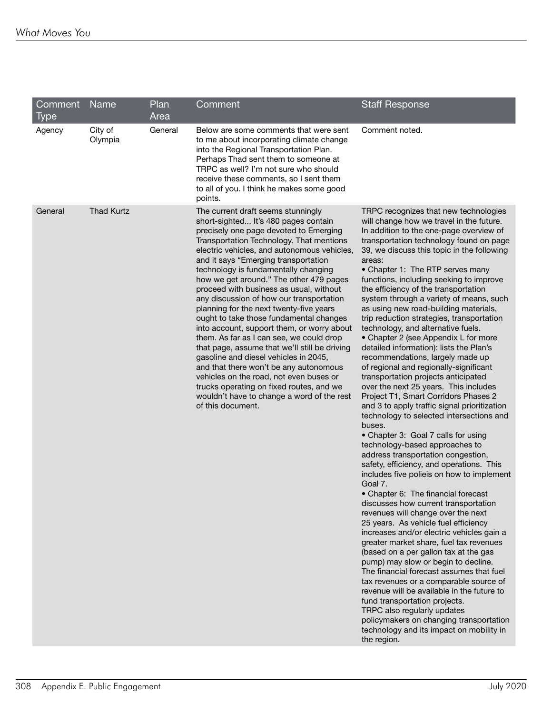| Comment<br><b>Type</b> | Name               | Plan<br>Area | Comment                                                                                                                                                                                                                                                                                                                                                                                                                                                                                                                                                                                                                                                                                                                                                                                                                                                                                                         | <b>Staff Response</b>                                                                                                                                                                                                                                                                                                                                                                                                                                                                                                                                                                                                                                                                                                                                                                                                                                                                                                                                                                                                                                                                                                                                                                                                                                                                                                                                                                                                                                                                                                                                                                                                                                                                                                                                                                          |
|------------------------|--------------------|--------------|-----------------------------------------------------------------------------------------------------------------------------------------------------------------------------------------------------------------------------------------------------------------------------------------------------------------------------------------------------------------------------------------------------------------------------------------------------------------------------------------------------------------------------------------------------------------------------------------------------------------------------------------------------------------------------------------------------------------------------------------------------------------------------------------------------------------------------------------------------------------------------------------------------------------|------------------------------------------------------------------------------------------------------------------------------------------------------------------------------------------------------------------------------------------------------------------------------------------------------------------------------------------------------------------------------------------------------------------------------------------------------------------------------------------------------------------------------------------------------------------------------------------------------------------------------------------------------------------------------------------------------------------------------------------------------------------------------------------------------------------------------------------------------------------------------------------------------------------------------------------------------------------------------------------------------------------------------------------------------------------------------------------------------------------------------------------------------------------------------------------------------------------------------------------------------------------------------------------------------------------------------------------------------------------------------------------------------------------------------------------------------------------------------------------------------------------------------------------------------------------------------------------------------------------------------------------------------------------------------------------------------------------------------------------------------------------------------------------------|
| Agency                 | City of<br>Olympia | General      | Below are some comments that were sent<br>to me about incorporating climate change<br>into the Regional Transportation Plan.<br>Perhaps Thad sent them to someone at<br>TRPC as well? I'm not sure who should<br>receive these comments, so I sent them<br>to all of you. I think he makes some good<br>points.                                                                                                                                                                                                                                                                                                                                                                                                                                                                                                                                                                                                 | Comment noted.                                                                                                                                                                                                                                                                                                                                                                                                                                                                                                                                                                                                                                                                                                                                                                                                                                                                                                                                                                                                                                                                                                                                                                                                                                                                                                                                                                                                                                                                                                                                                                                                                                                                                                                                                                                 |
| General                | <b>Thad Kurtz</b>  |              | The current draft seems stunningly<br>short-sighted It's 480 pages contain<br>precisely one page devoted to Emerging<br>Transportation Technology. That mentions<br>electric vehicles, and autonomous vehicles,<br>and it says "Emerging transportation<br>technology is fundamentally changing<br>how we get around." The other 479 pages<br>proceed with business as usual, without<br>any discussion of how our transportation<br>planning for the next twenty-five years<br>ought to take those fundamental changes<br>into account, support them, or worry about<br>them. As far as I can see, we could drop<br>that page, assume that we'll still be driving<br>gasoline and diesel vehicles in 2045,<br>and that there won't be any autonomous<br>vehicles on the road, not even buses or<br>trucks operating on fixed routes, and we<br>wouldn't have to change a word of the rest<br>of this document. | TRPC recognizes that new technologies<br>will change how we travel in the future.<br>In addition to the one-page overview of<br>transportation technology found on page<br>39, we discuss this topic in the following<br>areas:<br>• Chapter 1: The RTP serves many<br>functions, including seeking to improve<br>the efficiency of the transportation<br>system through a variety of means, such<br>as using new road-building materials,<br>trip reduction strategies, transportation<br>technology, and alternative fuels.<br>• Chapter 2 (see Appendix L for more<br>detailed information): lists the Plan's<br>recommendations, largely made up<br>of regional and regionally-significant<br>transportation projects anticipated<br>over the next 25 years. This includes<br>Project T1, Smart Corridors Phases 2<br>and 3 to apply traffic signal prioritization<br>technology to selected intersections and<br>buses.<br>• Chapter 3: Goal 7 calls for using<br>technology-based approaches to<br>address transportation congestion,<br>safety, efficiency, and operations. This<br>includes five polieis on how to implement<br>Goal 7.<br>• Chapter 6: The financial forecast<br>discusses how current transportation<br>revenues will change over the next<br>25 years. As vehicle fuel efficiency<br>increases and/or electric vehicles gain a<br>greater market share, fuel tax revenues<br>(based on a per gallon tax at the gas<br>pump) may slow or begin to decline.<br>The financial forecast assumes that fuel<br>tax revenues or a comparable source of<br>revenue will be available in the future to<br>fund transportation projects.<br>TRPC also regularly updates<br>policymakers on changing transportation<br>technology and its impact on mobility in<br>the region. |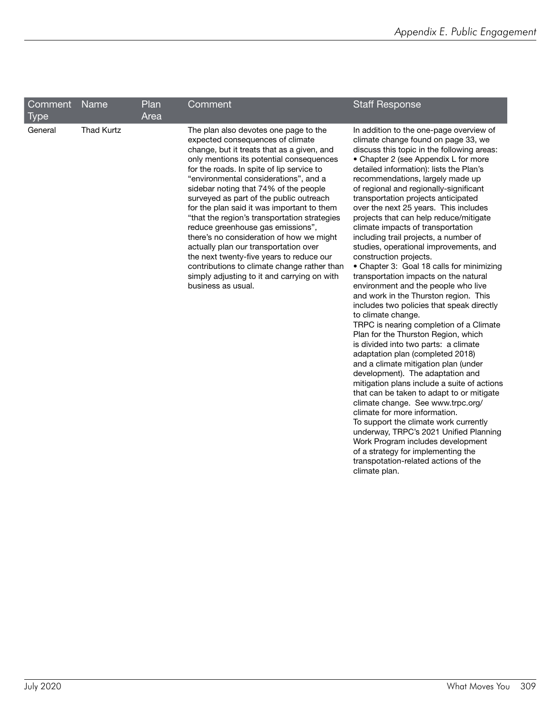| Comment<br>Type | <b>Name</b>       | <b>Plan</b><br>Area | Comment                                                                                                                                                                                                                                                                                                                                                                                                                                                                                                                                                                                                                                                                                                                               | <b>Staff Response</b>                                                                                                                                                                                                                                                                                                                                                                                                                                                                                                                                                                                                                                                                                                                                                                                                                                                                                                                                                                                                                                                                                                                                                                                                                                                                                                                                                                                                                                 |
|-----------------|-------------------|---------------------|---------------------------------------------------------------------------------------------------------------------------------------------------------------------------------------------------------------------------------------------------------------------------------------------------------------------------------------------------------------------------------------------------------------------------------------------------------------------------------------------------------------------------------------------------------------------------------------------------------------------------------------------------------------------------------------------------------------------------------------|-------------------------------------------------------------------------------------------------------------------------------------------------------------------------------------------------------------------------------------------------------------------------------------------------------------------------------------------------------------------------------------------------------------------------------------------------------------------------------------------------------------------------------------------------------------------------------------------------------------------------------------------------------------------------------------------------------------------------------------------------------------------------------------------------------------------------------------------------------------------------------------------------------------------------------------------------------------------------------------------------------------------------------------------------------------------------------------------------------------------------------------------------------------------------------------------------------------------------------------------------------------------------------------------------------------------------------------------------------------------------------------------------------------------------------------------------------|
| General         | <b>Thad Kurtz</b> |                     | The plan also devotes one page to the<br>expected consequences of climate<br>change, but it treats that as a given, and<br>only mentions its potential consequences<br>for the roads. In spite of lip service to<br>"environmental considerations", and a<br>sidebar noting that 74% of the people<br>surveyed as part of the public outreach<br>for the plan said it was important to them<br>"that the region's transportation strategies<br>reduce greenhouse gas emissions",<br>there's no consideration of how we might<br>actually plan our transportation over<br>the next twenty-five years to reduce our<br>contributions to climate change rather than<br>simply adjusting to it and carrying on with<br>business as usual. | In addition to the one-page overview of<br>climate change found on page 33, we<br>discuss this topic in the following areas:<br>• Chapter 2 (see Appendix L for more<br>detailed information): lists the Plan's<br>recommendations, largely made up<br>of regional and regionally-significant<br>transportation projects anticipated<br>over the next 25 years. This includes<br>projects that can help reduce/mitigate<br>climate impacts of transportation<br>including trail projects, a number of<br>studies, operational improvements, and<br>construction projects.<br>• Chapter 3: Goal 18 calls for minimizing<br>transportation impacts on the natural<br>environment and the people who live<br>and work in the Thurston region. This<br>includes two policies that speak directly<br>to climate change.<br>TRPC is nearing completion of a Climate<br>Plan for the Thurston Region, which<br>is divided into two parts: a climate<br>adaptation plan (completed 2018)<br>and a climate mitigation plan (under<br>development). The adaptation and<br>mitigation plans include a suite of actions<br>that can be taken to adapt to or mitigate<br>climate change. See www.trpc.org/<br>climate for more information.<br>To support the climate work currently<br>underway, TRPC's 2021 Unified Planning<br>Work Program includes development<br>of a strategy for implementing the<br>transpotation-related actions of the<br>climate plan. |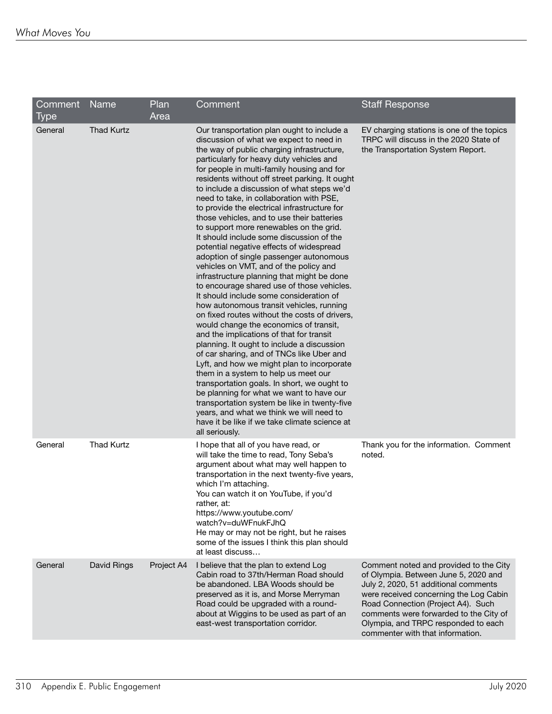| Comment<br><b>Type</b> | Name              | Plan<br>Area | Comment                                                                                                                                                                                                                                                                                                                                                                                                                                                                                                                                                                                                                                                                                                                                                                                                                                                                                                                                                                                                                                                                                                                                                                                                                                                                                                                                                                                                                                                              | <b>Staff Response</b>                                                                                                                                                                                                                                                                                                       |
|------------------------|-------------------|--------------|----------------------------------------------------------------------------------------------------------------------------------------------------------------------------------------------------------------------------------------------------------------------------------------------------------------------------------------------------------------------------------------------------------------------------------------------------------------------------------------------------------------------------------------------------------------------------------------------------------------------------------------------------------------------------------------------------------------------------------------------------------------------------------------------------------------------------------------------------------------------------------------------------------------------------------------------------------------------------------------------------------------------------------------------------------------------------------------------------------------------------------------------------------------------------------------------------------------------------------------------------------------------------------------------------------------------------------------------------------------------------------------------------------------------------------------------------------------------|-----------------------------------------------------------------------------------------------------------------------------------------------------------------------------------------------------------------------------------------------------------------------------------------------------------------------------|
| General                | <b>Thad Kurtz</b> |              | Our transportation plan ought to include a<br>discussion of what we expect to need in<br>the way of public charging infrastructure,<br>particularly for heavy duty vehicles and<br>for people in multi-family housing and for<br>residents without off street parking. It ought<br>to include a discussion of what steps we'd<br>need to take, in collaboration with PSE,<br>to provide the electrical infrastructure for<br>those vehicles, and to use their batteries<br>to support more renewables on the grid.<br>It should include some discussion of the<br>potential negative effects of widespread<br>adoption of single passenger autonomous<br>vehicles on VMT, and of the policy and<br>infrastructure planning that might be done<br>to encourage shared use of those vehicles.<br>It should include some consideration of<br>how autonomous transit vehicles, running<br>on fixed routes without the costs of drivers,<br>would change the economics of transit,<br>and the implications of that for transit<br>planning. It ought to include a discussion<br>of car sharing, and of TNCs like Uber and<br>Lyft, and how we might plan to incorporate<br>them in a system to help us meet our<br>transportation goals. In short, we ought to<br>be planning for what we want to have our<br>transportation system be like in twenty-five<br>years, and what we think we will need to<br>have it be like if we take climate science at<br>all seriously. | EV charging stations is one of the topics<br>TRPC will discuss in the 2020 State of<br>the Transportation System Report.                                                                                                                                                                                                    |
| General                | <b>Thad Kurtz</b> |              | I hope that all of you have read, or<br>will take the time to read, Tony Seba's<br>argument about what may well happen to<br>transportation in the next twenty-five years,<br>which I'm attaching.<br>You can watch it on YouTube, if you'd<br>rather, at:<br>https://www.youtube.com/<br>watch?v=duWFnukFJhQ<br>He may or may not be right, but he raises<br>some of the issues I think this plan should<br>at least discuss                                                                                                                                                                                                                                                                                                                                                                                                                                                                                                                                                                                                                                                                                                                                                                                                                                                                                                                                                                                                                                        | Thank you for the information. Comment<br>noted.                                                                                                                                                                                                                                                                            |
| General                | David Rings       | Project A4   | I believe that the plan to extend Log<br>Cabin road to 37th/Herman Road should<br>be abandoned. LBA Woods should be<br>preserved as it is, and Morse Merryman<br>Road could be upgraded with a round-<br>about at Wiggins to be used as part of an<br>east-west transportation corridor.                                                                                                                                                                                                                                                                                                                                                                                                                                                                                                                                                                                                                                                                                                                                                                                                                                                                                                                                                                                                                                                                                                                                                                             | Comment noted and provided to the City<br>of Olympia. Between June 5, 2020 and<br>July 2, 2020, 51 additional comments<br>were received concerning the Log Cabin<br>Road Connection (Project A4). Such<br>comments were forwarded to the City of<br>Olympia, and TRPC responded to each<br>commenter with that information. |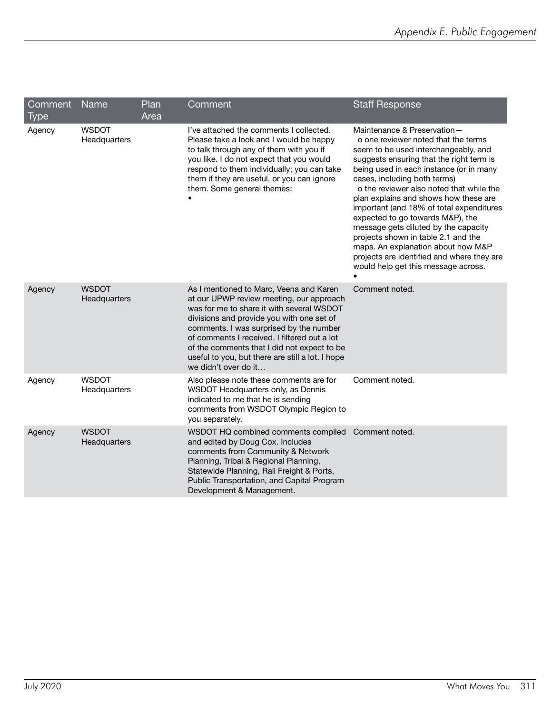| Comment<br><b>Type</b> | Name                         | Plan<br>Area | Comment                                                                                                                                                                                                                                                                                                                                                                                             | <b>Staff Response</b>                                                                                                                                                                                                                                                                                                                                                                                                                                                                                                                                                                                            |
|------------------------|------------------------------|--------------|-----------------------------------------------------------------------------------------------------------------------------------------------------------------------------------------------------------------------------------------------------------------------------------------------------------------------------------------------------------------------------------------------------|------------------------------------------------------------------------------------------------------------------------------------------------------------------------------------------------------------------------------------------------------------------------------------------------------------------------------------------------------------------------------------------------------------------------------------------------------------------------------------------------------------------------------------------------------------------------------------------------------------------|
| Agency                 | <b>WSDOT</b><br>Headquarters |              | I've attached the comments I collected.<br>Please take a look and I would be happy<br>to talk through any of them with you if<br>you like. I do not expect that you would<br>respond to them individually; you can take<br>them if they are useful, or you can ignore<br>them. Some general themes:                                                                                                 | Maintenance & Preservation-<br>o one reviewer noted that the terms<br>seem to be used interchangeably, and<br>suggests ensuring that the right term is<br>being used in each instance (or in many<br>cases, including both terms)<br>o the reviewer also noted that while the<br>plan explains and shows how these are<br>important (and 18% of total expenditures<br>expected to go towards M&P), the<br>message gets diluted by the capacity<br>projects shown in table 2.1 and the<br>maps. An explanation about how M&P<br>projects are identified and where they are<br>would help get this message across. |
| Agency                 | <b>WSDOT</b><br>Headquarters |              | As I mentioned to Marc, Veena and Karen<br>at our UPWP review meeting, our approach<br>was for me to share it with several WSDOT<br>divisions and provide you with one set of<br>comments. I was surprised by the number<br>of comments I received. I filtered out a lot<br>of the comments that I did not expect to be<br>useful to you, but there are still a lot. I hope<br>we didn't over do it | Comment noted.                                                                                                                                                                                                                                                                                                                                                                                                                                                                                                                                                                                                   |
| Agency                 | <b>WSDOT</b><br>Headquarters |              | Also please note these comments are for<br>WSDOT Headquarters only, as Dennis<br>indicated to me that he is sending<br>comments from WSDOT Olympic Region to<br>you separately.                                                                                                                                                                                                                     | Comment noted.                                                                                                                                                                                                                                                                                                                                                                                                                                                                                                                                                                                                   |
| Agency                 | <b>WSDOT</b><br>Headquarters |              | WSDOT HQ combined comments compiled<br>and edited by Doug Cox. Includes<br>comments from Community & Network<br>Planning, Tribal & Regional Planning,<br>Statewide Planning, Rail Freight & Ports,<br>Public Transportation, and Capital Program<br>Development & Management.                                                                                                                       | Comment noted.                                                                                                                                                                                                                                                                                                                                                                                                                                                                                                                                                                                                   |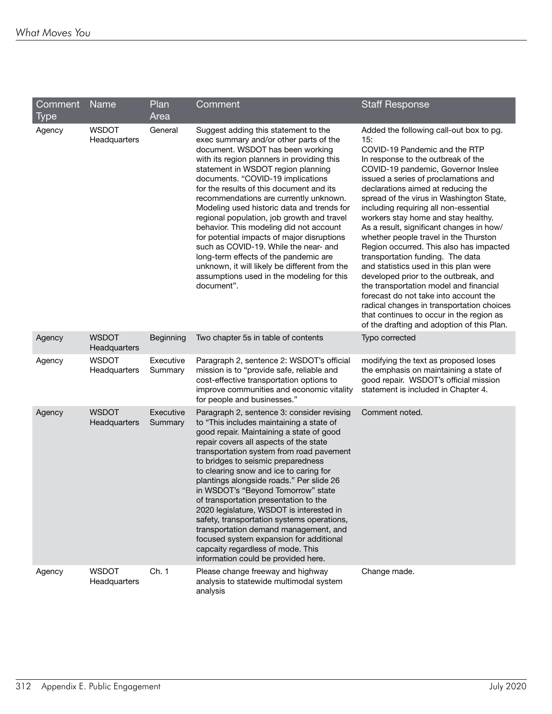| Comment | Name                         | Plan                 | Comment                                                                                                                                                                                                                                                                                                                                                                                                                                                                                                                                                                                                                                                                                                              | <b>Staff Response</b>                                                                                                                                                                                                                                                                                                                                                                                                                                                                                                                                                                                                                                                                                                                                                                                                                                |
|---------|------------------------------|----------------------|----------------------------------------------------------------------------------------------------------------------------------------------------------------------------------------------------------------------------------------------------------------------------------------------------------------------------------------------------------------------------------------------------------------------------------------------------------------------------------------------------------------------------------------------------------------------------------------------------------------------------------------------------------------------------------------------------------------------|------------------------------------------------------------------------------------------------------------------------------------------------------------------------------------------------------------------------------------------------------------------------------------------------------------------------------------------------------------------------------------------------------------------------------------------------------------------------------------------------------------------------------------------------------------------------------------------------------------------------------------------------------------------------------------------------------------------------------------------------------------------------------------------------------------------------------------------------------|
| Type    |                              | Area                 |                                                                                                                                                                                                                                                                                                                                                                                                                                                                                                                                                                                                                                                                                                                      |                                                                                                                                                                                                                                                                                                                                                                                                                                                                                                                                                                                                                                                                                                                                                                                                                                                      |
| Agency  | <b>WSDOT</b><br>Headquarters | General              | Suggest adding this statement to the<br>exec summary and/or other parts of the<br>document. WSDOT has been working<br>with its region planners in providing this<br>statement in WSDOT region planning<br>documents. "COVID-19 implications<br>for the results of this document and its<br>recommendations are currently unknown.<br>Modeling used historic data and trends for<br>regional population, job growth and travel<br>behavior. This modeling did not account<br>for potential impacts of major disruptions<br>such as COVID-19. While the near- and<br>long-term effects of the pandemic are<br>unknown, it will likely be different from the<br>assumptions used in the modeling for this<br>document". | Added the following call-out box to pg.<br>15:<br>COVID-19 Pandemic and the RTP<br>In response to the outbreak of the<br>COVID-19 pandemic, Governor Inslee<br>issued a series of proclamations and<br>declarations aimed at reducing the<br>spread of the virus in Washington State,<br>including requiring all non-essential<br>workers stay home and stay healthy.<br>As a result, significant changes in how/<br>whether people travel in the Thurston<br>Region occurred. This also has impacted<br>transportation funding. The data<br>and statistics used in this plan were<br>developed prior to the outbreak, and<br>the transportation model and financial<br>forecast do not take into account the<br>radical changes in transportation choices<br>that continues to occur in the region as<br>of the drafting and adoption of this Plan. |
| Agency  | <b>WSDOT</b><br>Headquarters | Beginning            | Two chapter 5s in table of contents                                                                                                                                                                                                                                                                                                                                                                                                                                                                                                                                                                                                                                                                                  | Typo corrected                                                                                                                                                                                                                                                                                                                                                                                                                                                                                                                                                                                                                                                                                                                                                                                                                                       |
| Agency  | <b>WSDOT</b><br>Headquarters | Executive<br>Summary | Paragraph 2, sentence 2: WSDOT's official<br>mission is to "provide safe, reliable and<br>cost-effective transportation options to<br>improve communities and economic vitality<br>for people and businesses."                                                                                                                                                                                                                                                                                                                                                                                                                                                                                                       | modifying the text as proposed loses<br>the emphasis on maintaining a state of<br>good repair. WSDOT's official mission<br>statement is included in Chapter 4.                                                                                                                                                                                                                                                                                                                                                                                                                                                                                                                                                                                                                                                                                       |
| Agency  | <b>WSDOT</b><br>Headquarters | Executive<br>Summary | Paragraph 2, sentence 3: consider revising<br>to "This includes maintaining a state of<br>good repair. Maintaining a state of good<br>repair covers all aspects of the state<br>transportation system from road pavement<br>to bridges to seismic preparedness<br>to clearing snow and ice to caring for<br>plantings alongside roads." Per slide 26<br>in WSDOT's "Beyond Tomorrow" state<br>of transportation presentation to the<br>2020 legislature, WSDOT is interested in<br>safety, transportation systems operations,<br>transportation demand management, and<br>focused system expansion for additional<br>capcaity regardless of mode. This<br>information could be provided here.                        | Comment noted.                                                                                                                                                                                                                                                                                                                                                                                                                                                                                                                                                                                                                                                                                                                                                                                                                                       |
| Agency  | <b>WSDOT</b><br>Headquarters | Ch. 1                | Please change freeway and highway<br>analysis to statewide multimodal system<br>analysis                                                                                                                                                                                                                                                                                                                                                                                                                                                                                                                                                                                                                             | Change made.                                                                                                                                                                                                                                                                                                                                                                                                                                                                                                                                                                                                                                                                                                                                                                                                                                         |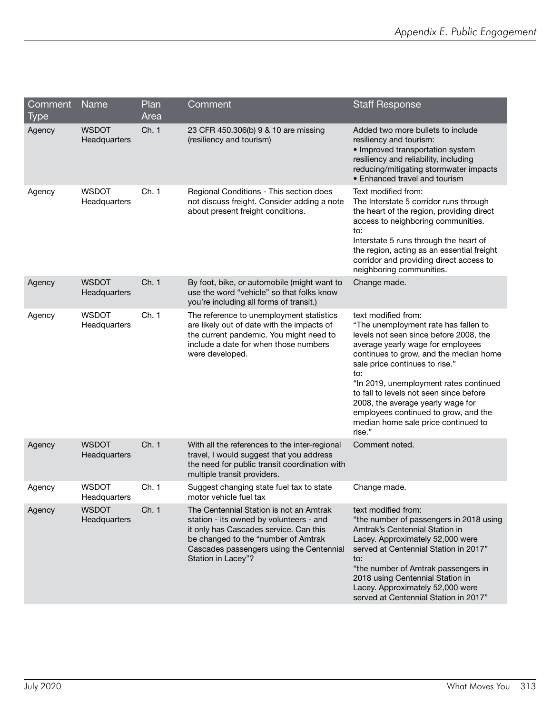| Comment<br><b>Type</b> | Name                         | Plan<br>Area | Comment                                                                                                                                                                                                                               | <b>Staff Response</b>                                                                                                                                                                                                                                                                                                                                                                                                                            |
|------------------------|------------------------------|--------------|---------------------------------------------------------------------------------------------------------------------------------------------------------------------------------------------------------------------------------------|--------------------------------------------------------------------------------------------------------------------------------------------------------------------------------------------------------------------------------------------------------------------------------------------------------------------------------------------------------------------------------------------------------------------------------------------------|
| Agency                 | <b>WSDOT</b><br>Headquarters | Ch. 1        | 23 CFR 450.306(b) 9 & 10 are missing<br>(resiliency and tourism)                                                                                                                                                                      | Added two more bullets to include<br>resiliency and tourism:<br>• Improved transportation system<br>resiliency and reliability, including<br>reducing/mitigating stormwater impacts<br>• Enhanced travel and tourism                                                                                                                                                                                                                             |
| Agency                 | <b>WSDOT</b><br>Headquarters | Ch. 1        | Regional Conditions - This section does<br>not discuss freight. Consider adding a note<br>about present freight conditions.                                                                                                           | Text modified from:<br>The Interstate 5 corridor runs through<br>the heart of the region, providing direct<br>access to neighboring communities.<br>to:<br>Interstate 5 runs through the heart of<br>the region, acting as an essential freight<br>corridor and providing direct access to<br>neighboring communities.                                                                                                                           |
| Agency                 | <b>WSDOT</b><br>Headquarters | Ch. 1        | By foot, bike, or automobile (might want to<br>use the word "vehicle" so that folks know<br>you're including all forms of transit.)                                                                                                   | Change made.                                                                                                                                                                                                                                                                                                                                                                                                                                     |
| Agency                 | <b>WSDOT</b><br>Headquarters | Ch. 1        | The reference to unemployment statistics<br>are likely out of date with the impacts of<br>the current pandemic. You might need to<br>include a date for when those numbers<br>were developed.                                         | text modified from:<br>"The unemployment rate has fallen to<br>levels not seen since before 2008, the<br>average yearly wage for employees<br>continues to grow, and the median home<br>sale price continues to rise."<br>to:<br>"In 2019, unemployment rates continued<br>to fall to levels not seen since before<br>2008, the average yearly wage for<br>employees continued to grow, and the<br>median home sale price continued to<br>rise." |
| Agency                 | <b>WSDOT</b><br>Headquarters | Ch. 1        | With all the references to the inter-regional<br>travel, I would suggest that you address<br>the need for public transit coordination with<br>multiple transit providers.                                                             | Comment noted.                                                                                                                                                                                                                                                                                                                                                                                                                                   |
| Agency                 | <b>WSDOT</b><br>Headquarters | Ch. 1        | Suggest changing state fuel tax to state<br>motor vehicle fuel tax                                                                                                                                                                    | Change made.                                                                                                                                                                                                                                                                                                                                                                                                                                     |
| Agency                 | <b>WSDOT</b><br>Headquarters | Ch. 1        | The Centennial Station is not an Amtrak<br>station - its owned by volunteers - and<br>it only has Cascades service. Can this<br>be changed to the "number of Amtrak<br>Cascades passengers using the Centennial<br>Station in Lacey"? | text modified from:<br>"the number of passengers in 2018 using<br>Amtrak's Centennial Station in<br>Lacey. Approximately 52,000 were<br>served at Centennial Station in 2017"<br>to:<br>"the number of Amtrak passengers in<br>2018 using Centennial Station in<br>Lacey. Approximately 52,000 were<br>served at Centennial Station in 2017"                                                                                                     |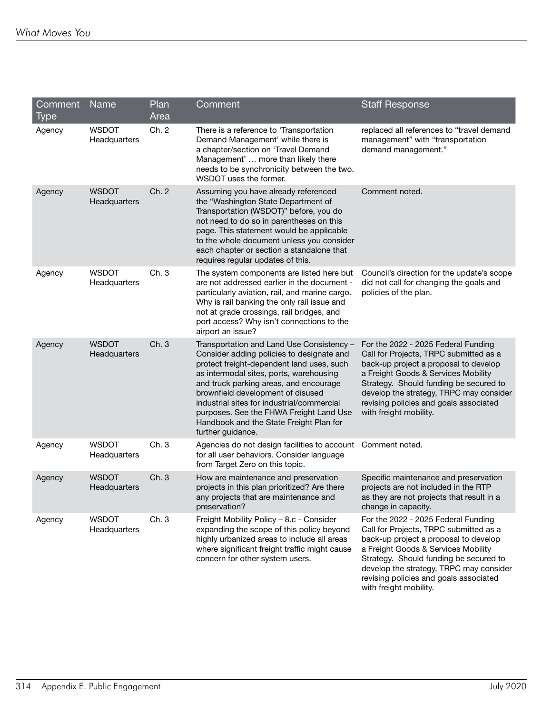| Comment        | Name                         | Plan<br>Area | Comment                                                                                                                                                                                                                                                                                                                                                                                                                | <b>Staff Response</b>                                                                                                                                                                                                                                                                                                  |
|----------------|------------------------------|--------------|------------------------------------------------------------------------------------------------------------------------------------------------------------------------------------------------------------------------------------------------------------------------------------------------------------------------------------------------------------------------------------------------------------------------|------------------------------------------------------------------------------------------------------------------------------------------------------------------------------------------------------------------------------------------------------------------------------------------------------------------------|
| Type<br>Agency | <b>WSDOT</b><br>Headquarters | Ch. 2        | There is a reference to 'Transportation<br>Demand Management' while there is<br>a chapter/section on 'Travel Demand<br>Management'  more than likely there<br>needs to be synchronicity between the two.<br>WSDOT uses the former.                                                                                                                                                                                     | replaced all references to "travel demand<br>management" with "transportation<br>demand management."                                                                                                                                                                                                                   |
| Agency         | <b>WSDOT</b><br>Headquarters | Ch. 2        | Assuming you have already referenced<br>the "Washington State Department of<br>Transportation (WSDOT)" before, you do<br>not need to do so in parentheses on this<br>page. This statement would be applicable<br>to the whole document unless you consider<br>each chapter or section a standalone that<br>requires regular updates of this.                                                                           | Comment noted.                                                                                                                                                                                                                                                                                                         |
| Agency         | <b>WSDOT</b><br>Headquarters | Ch. 3        | The system components are listed here but<br>are not addressed earlier in the document -<br>particularly aviation, rail, and marine cargo.<br>Why is rail banking the only rail issue and<br>not at grade crossings, rail bridges, and<br>port access? Why isn't connections to the<br>airport an issue?                                                                                                               | Council's direction for the update's scope<br>did not call for changing the goals and<br>policies of the plan.                                                                                                                                                                                                         |
| Agency         | <b>WSDOT</b><br>Headquarters | Ch. 3        | Transportation and Land Use Consistency -<br>Consider adding policies to designate and<br>protect freight-dependent land uses, such<br>as intermodal sites, ports, warehousing<br>and truck parking areas, and encourage<br>brownfield development of disused<br>industrial sites for industrial/commercial<br>purposes. See the FHWA Freight Land Use<br>Handbook and the State Freight Plan for<br>further guidance. | For the 2022 - 2025 Federal Funding<br>Call for Projects, TRPC submitted as a<br>back-up project a proposal to develop<br>a Freight Goods & Services Mobility<br>Strategy. Should funding be secured to<br>develop the strategy, TRPC may consider<br>revising policies and goals associated<br>with freight mobility. |
| Agency         | <b>WSDOT</b><br>Headquarters | Ch. 3        | Agencies do not design facilities to account<br>for all user behaviors. Consider language<br>from Target Zero on this topic.                                                                                                                                                                                                                                                                                           | Comment noted.                                                                                                                                                                                                                                                                                                         |
| Agency         | <b>WSDOT</b><br>Headquarters | Ch. 3        | How are maintenance and preservation<br>projects in this plan prioritized? Are there<br>any projects that are maintenance and<br>preservation?                                                                                                                                                                                                                                                                         | Specific maintenance and preservation<br>projects are not included in the RTP<br>as they are not projects that result in a<br>change in capacity.                                                                                                                                                                      |
| Agency         | <b>WSDOT</b><br>Headquarters | Ch. 3        | Freight Mobility Policy - 8.c - Consider<br>expanding the scope of this policy beyond<br>highly urbanized areas to include all areas<br>where significant freight traffic might cause<br>concern for other system users.                                                                                                                                                                                               | For the 2022 - 2025 Federal Funding<br>Call for Projects, TRPC submitted as a<br>back-up project a proposal to develop<br>a Freight Goods & Services Mobility<br>Strategy. Should funding be secured to<br>develop the strategy, TRPC may consider<br>revising policies and goals associated<br>with freight mobility. |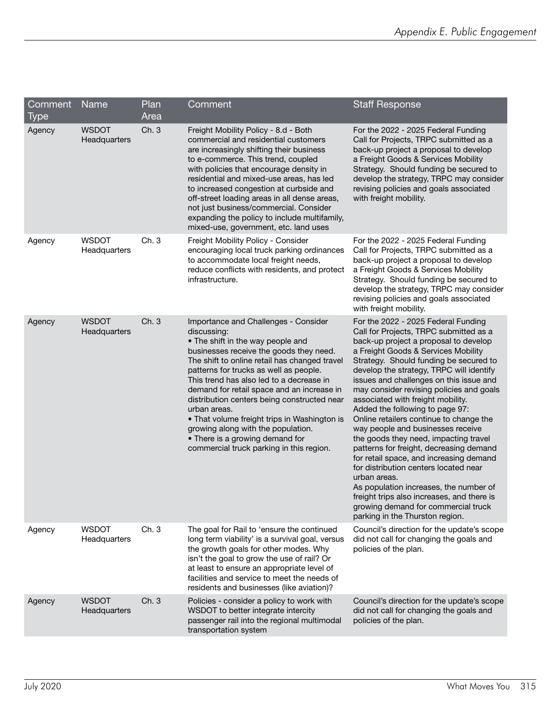| Comment<br><b>Type</b> | <b>Name</b>                  | Plan<br>Area | Comment                                                                                                                                                                                                                                                                                                                                                                                                                                                                                                                                                      | <b>Staff Response</b>                                                                                                                                                                                                                                                                                                                                                                                                                                                                                                                                                                                                                                                                                                                                                                                                                                        |
|------------------------|------------------------------|--------------|--------------------------------------------------------------------------------------------------------------------------------------------------------------------------------------------------------------------------------------------------------------------------------------------------------------------------------------------------------------------------------------------------------------------------------------------------------------------------------------------------------------------------------------------------------------|--------------------------------------------------------------------------------------------------------------------------------------------------------------------------------------------------------------------------------------------------------------------------------------------------------------------------------------------------------------------------------------------------------------------------------------------------------------------------------------------------------------------------------------------------------------------------------------------------------------------------------------------------------------------------------------------------------------------------------------------------------------------------------------------------------------------------------------------------------------|
| Agency                 | <b>WSDOT</b><br>Headquarters | Ch.3         | Freight Mobility Policy - 8.d - Both<br>commercial and residential customers<br>are increasingly shifting their business<br>to e-commerce. This trend, coupled<br>with policies that encourage density in<br>residential and mixed-use areas, has led<br>to increased congestion at curbside and<br>off-street loading areas in all dense areas,<br>not just business/commercial. Consider<br>expanding the policy to include multifamily,<br>mixed-use, government, etc. land uses                                                                          | For the 2022 - 2025 Federal Funding<br>Call for Projects, TRPC submitted as a<br>back-up project a proposal to develop<br>a Freight Goods & Services Mobility<br>Strategy. Should funding be secured to<br>develop the strategy, TRPC may consider<br>revising policies and goals associated<br>with freight mobility.                                                                                                                                                                                                                                                                                                                                                                                                                                                                                                                                       |
| Agency                 | <b>WSDOT</b><br>Headquarters | Ch.3         | Freight Mobility Policy - Consider<br>encouraging local truck parking ordinances<br>to accommodate local freight needs,<br>reduce conflicts with residents, and protect<br>infrastructure.                                                                                                                                                                                                                                                                                                                                                                   | For the 2022 - 2025 Federal Funding<br>Call for Projects, TRPC submitted as a<br>back-up project a proposal to develop<br>a Freight Goods & Services Mobility<br>Strategy. Should funding be secured to<br>develop the strategy, TRPC may consider<br>revising policies and goals associated<br>with freight mobility.                                                                                                                                                                                                                                                                                                                                                                                                                                                                                                                                       |
| Agency                 | <b>WSDOT</b><br>Headquarters | Ch.3         | Importance and Challenges - Consider<br>discussing:<br>• The shift in the way people and<br>businesses receive the goods they need.<br>The shift to online retail has changed travel<br>patterns for trucks as well as people.<br>This trend has also led to a decrease in<br>demand for retail space and an increase in<br>distribution centers being constructed near<br>urban areas.<br>• That volume freight trips in Washington is<br>growing along with the population.<br>• There is a growing demand for<br>commercial truck parking in this region. | For the 2022 - 2025 Federal Funding<br>Call for Projects, TRPC submitted as a<br>back-up project a proposal to develop<br>a Freight Goods & Services Mobility<br>Strategy. Should funding be secured to<br>develop the strategy, TRPC will identify<br>issues and challenges on this issue and<br>may consider revising policies and goals<br>associated with freight mobility.<br>Added the following to page 97:<br>Online retailers continue to change the<br>way people and businesses receive<br>the goods they need, impacting travel<br>patterns for freight, decreasing demand<br>for retail space, and increasing demand<br>for distribution centers located near<br>urban areas.<br>As population increases, the number of<br>freight trips also increases, and there is<br>growing demand for commercial truck<br>parking in the Thurston region. |
| Agency                 | <b>WSDOT</b><br>Headquarters | Ch. 3        | The goal for Rail to 'ensure the continued<br>long term viability' is a survival goal, versus<br>the growth goals for other modes. Why<br>isn't the goal to grow the use of rail? Or<br>at least to ensure an appropriate level of<br>facilities and service to meet the needs of<br>residents and businesses (like aviation)?                                                                                                                                                                                                                               | Council's direction for the update's scope<br>did not call for changing the goals and<br>policies of the plan.                                                                                                                                                                                                                                                                                                                                                                                                                                                                                                                                                                                                                                                                                                                                               |
| Agency                 | <b>WSDOT</b><br>Headquarters | Ch.3         | Policies - consider a policy to work with<br>WSDOT to better integrate intercity<br>passenger rail into the regional multimodal<br>transportation system                                                                                                                                                                                                                                                                                                                                                                                                     | Council's direction for the update's scope<br>did not call for changing the goals and<br>policies of the plan.                                                                                                                                                                                                                                                                                                                                                                                                                                                                                                                                                                                                                                                                                                                                               |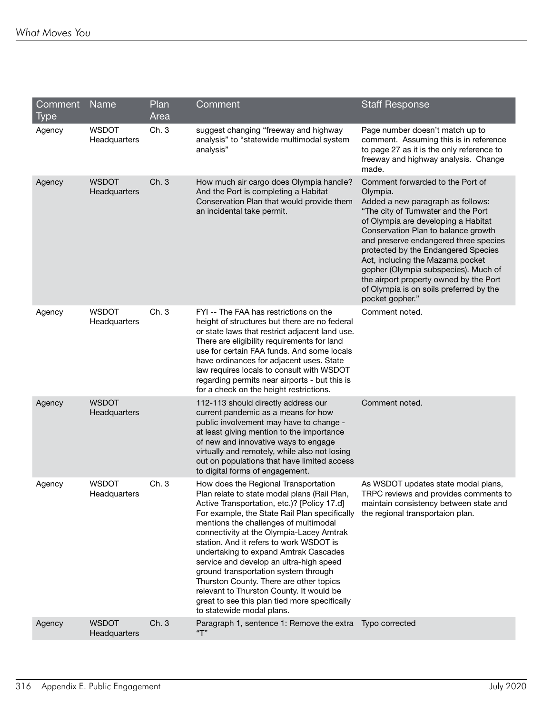| Comment<br>Type | Name                         | Plan<br>Area | Comment                                                                                                                                                                                                                                                                                                                                                                                                                                                                                                                                                                                                               | <b>Staff Response</b>                                                                                                                                                                                                                                                                                                                                                                                                                                                     |
|-----------------|------------------------------|--------------|-----------------------------------------------------------------------------------------------------------------------------------------------------------------------------------------------------------------------------------------------------------------------------------------------------------------------------------------------------------------------------------------------------------------------------------------------------------------------------------------------------------------------------------------------------------------------------------------------------------------------|---------------------------------------------------------------------------------------------------------------------------------------------------------------------------------------------------------------------------------------------------------------------------------------------------------------------------------------------------------------------------------------------------------------------------------------------------------------------------|
| Agency          | <b>WSDOT</b><br>Headquarters | Ch. 3        | suggest changing "freeway and highway<br>analysis" to "statewide multimodal system<br>analysis"                                                                                                                                                                                                                                                                                                                                                                                                                                                                                                                       | Page number doesn't match up to<br>comment. Assuming this is in reference<br>to page 27 as it is the only reference to<br>freeway and highway analysis. Change<br>made.                                                                                                                                                                                                                                                                                                   |
| Agency          | <b>WSDOT</b><br>Headquarters | Ch. 3        | How much air cargo does Olympia handle?<br>And the Port is completing a Habitat<br>Conservation Plan that would provide them<br>an incidental take permit.                                                                                                                                                                                                                                                                                                                                                                                                                                                            | Comment forwarded to the Port of<br>Olympia.<br>Added a new paragraph as follows:<br>"The city of Tumwater and the Port<br>of Olympia are developing a Habitat<br>Conservation Plan to balance growth<br>and preserve endangered three species<br>protected by the Endangered Species<br>Act, including the Mazama pocket<br>gopher (Olympia subspecies). Much of<br>the airport property owned by the Port<br>of Olympia is on soils preferred by the<br>pocket gopher." |
| Agency          | <b>WSDOT</b><br>Headquarters | Ch. 3        | FYI -- The FAA has restrictions on the<br>height of structures but there are no federal<br>or state laws that restrict adjacent land use.<br>There are eligibility requirements for land<br>use for certain FAA funds. And some locals<br>have ordinances for adjacent uses. State<br>law requires locals to consult with WSDOT<br>regarding permits near airports - but this is<br>for a check on the height restrictions.                                                                                                                                                                                           | Comment noted.                                                                                                                                                                                                                                                                                                                                                                                                                                                            |
| Agency          | <b>WSDOT</b><br>Headquarters |              | 112-113 should directly address our<br>current pandemic as a means for how<br>public involvement may have to change -<br>at least giving mention to the importance<br>of new and innovative ways to engage<br>virtually and remotely, while also not losing<br>out on populations that have limited access<br>to digital forms of engagement.                                                                                                                                                                                                                                                                         | Comment noted.                                                                                                                                                                                                                                                                                                                                                                                                                                                            |
| Agency          | <b>WSDOT</b><br>Headquarters | Ch.3         | How does the Regional Transportation<br>Plan relate to state modal plans (Rail Plan,<br>Active Transportation, etc.)? [Policy 17.d]<br>For example, the State Rail Plan specifically<br>mentions the challenges of multimodal<br>connectivity at the Olympia-Lacey Amtrak<br>station. And it refers to work WSDOT is<br>undertaking to expand Amtrak Cascades<br>service and develop an ultra-high speed<br>ground transportation system through<br>Thurston County. There are other topics<br>relevant to Thurston County. It would be<br>great to see this plan tied more specifically<br>to statewide modal plans. | As WSDOT updates state modal plans,<br>TRPC reviews and provides comments to<br>maintain consistency between state and<br>the regional transportaion plan.                                                                                                                                                                                                                                                                                                                |
| Agency          | <b>WSDOT</b><br>Headquarters | Ch. 3        | Paragraph 1, sentence 1: Remove the extra<br>"T"                                                                                                                                                                                                                                                                                                                                                                                                                                                                                                                                                                      | Typo corrected                                                                                                                                                                                                                                                                                                                                                                                                                                                            |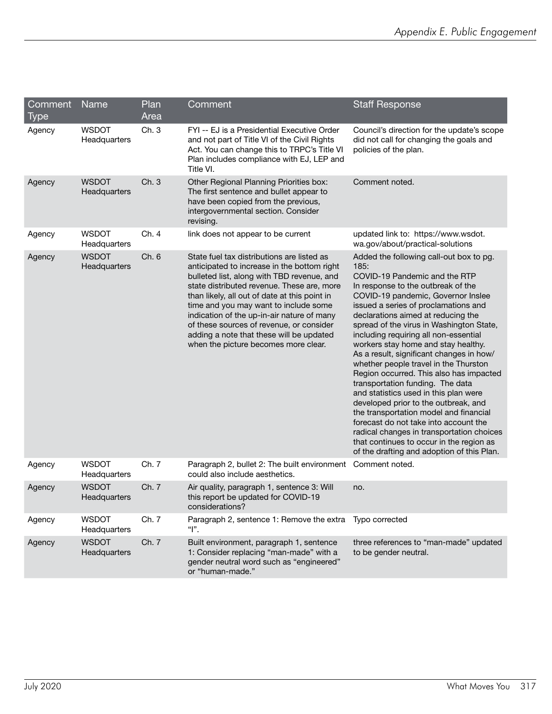| Comment<br><b>Type</b> | Name                         | Plan<br>Area | Comment                                                                                                                                                                                                                                                                                                                                                                                                                                                       | <b>Staff Response</b>                                                                                                                                                                                                                                                                                                                                                                                                                                                                                                                                                                                                                                                                                                                                                                                                                                 |
|------------------------|------------------------------|--------------|---------------------------------------------------------------------------------------------------------------------------------------------------------------------------------------------------------------------------------------------------------------------------------------------------------------------------------------------------------------------------------------------------------------------------------------------------------------|-------------------------------------------------------------------------------------------------------------------------------------------------------------------------------------------------------------------------------------------------------------------------------------------------------------------------------------------------------------------------------------------------------------------------------------------------------------------------------------------------------------------------------------------------------------------------------------------------------------------------------------------------------------------------------------------------------------------------------------------------------------------------------------------------------------------------------------------------------|
| Agency                 | <b>WSDOT</b><br>Headquarters | Ch.3         | FYI -- EJ is a Presidential Executive Order<br>and not part of Title VI of the Civil Rights<br>Act. You can change this to TRPC's Title VI<br>Plan includes compliance with EJ, LEP and<br>Title VI.                                                                                                                                                                                                                                                          | Council's direction for the update's scope<br>did not call for changing the goals and<br>policies of the plan.                                                                                                                                                                                                                                                                                                                                                                                                                                                                                                                                                                                                                                                                                                                                        |
| Agency                 | <b>WSDOT</b><br>Headquarters | Ch.3         | Other Regional Planning Priorities box:<br>The first sentence and bullet appear to<br>have been copied from the previous,<br>intergovernmental section. Consider<br>revising.                                                                                                                                                                                                                                                                                 | Comment noted.                                                                                                                                                                                                                                                                                                                                                                                                                                                                                                                                                                                                                                                                                                                                                                                                                                        |
| Agency                 | <b>WSDOT</b><br>Headquarters | Ch.4         | link does not appear to be current                                                                                                                                                                                                                                                                                                                                                                                                                            | updated link to: https://www.wsdot.<br>wa.gov/about/practical-solutions                                                                                                                                                                                                                                                                                                                                                                                                                                                                                                                                                                                                                                                                                                                                                                               |
| Agency                 | <b>WSDOT</b><br>Headquarters | Ch. 6        | State fuel tax distributions are listed as<br>anticipated to increase in the bottom right<br>bulleted list, along with TBD revenue, and<br>state distributed revenue. These are, more<br>than likely, all out of date at this point in<br>time and you may want to include some<br>indication of the up-in-air nature of many<br>of these sources of revenue, or consider<br>adding a note that these will be updated<br>when the picture becomes more clear. | Added the following call-out box to pg.<br>185:<br>COVID-19 Pandemic and the RTP<br>In response to the outbreak of the<br>COVID-19 pandemic, Governor Inslee<br>issued a series of proclamations and<br>declarations aimed at reducing the<br>spread of the virus in Washington State,<br>including requiring all non-essential<br>workers stay home and stay healthy.<br>As a result, significant changes in how/<br>whether people travel in the Thurston<br>Region occurred. This also has impacted<br>transportation funding. The data<br>and statistics used in this plan were<br>developed prior to the outbreak, and<br>the transportation model and financial<br>forecast do not take into account the<br>radical changes in transportation choices<br>that continues to occur in the region as<br>of the drafting and adoption of this Plan. |
| Agency                 | <b>WSDOT</b><br>Headquarters | Ch. 7        | Paragraph 2, bullet 2: The built environment<br>could also include aesthetics.                                                                                                                                                                                                                                                                                                                                                                                | Comment noted.                                                                                                                                                                                                                                                                                                                                                                                                                                                                                                                                                                                                                                                                                                                                                                                                                                        |
| Agency                 | <b>WSDOT</b><br>Headquarters | Ch. 7        | Air quality, paragraph 1, sentence 3: Will<br>this report be updated for COVID-19<br>considerations?                                                                                                                                                                                                                                                                                                                                                          | no.                                                                                                                                                                                                                                                                                                                                                                                                                                                                                                                                                                                                                                                                                                                                                                                                                                                   |
| Agency                 | <b>WSDOT</b><br>Headquarters | Ch. 7        | Paragraph 2, sentence 1: Remove the extra<br>" ".                                                                                                                                                                                                                                                                                                                                                                                                             | Typo corrected                                                                                                                                                                                                                                                                                                                                                                                                                                                                                                                                                                                                                                                                                                                                                                                                                                        |
| Agency                 | <b>WSDOT</b><br>Headquarters | Ch. 7        | Built environment, paragraph 1, sentence<br>1: Consider replacing "man-made" with a<br>gender neutral word such as "engineered"<br>or "human-made."                                                                                                                                                                                                                                                                                                           | three references to "man-made" updated<br>to be gender neutral.                                                                                                                                                                                                                                                                                                                                                                                                                                                                                                                                                                                                                                                                                                                                                                                       |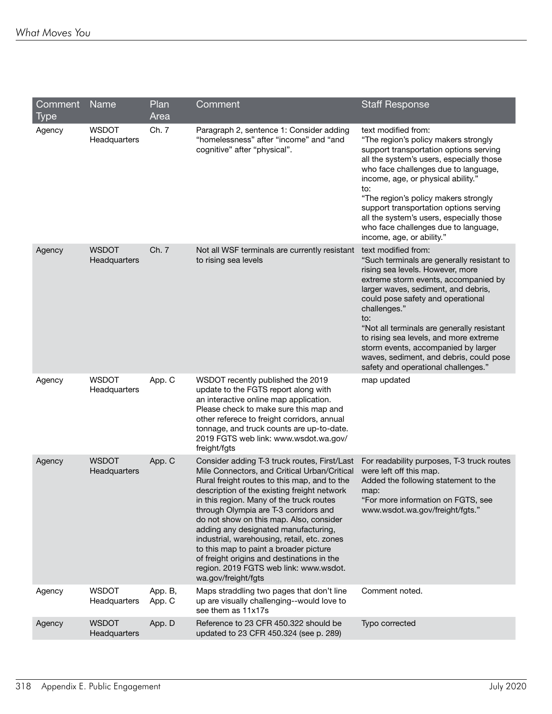| Comment<br>Type | Name                         | Plan<br>Area      | Comment                                                                                                                                                                                                                                                                                                                                                                                                                                                                                                                                                                     | <b>Staff Response</b>                                                                                                                                                                                                                                                                                                                                                                                                                                             |
|-----------------|------------------------------|-------------------|-----------------------------------------------------------------------------------------------------------------------------------------------------------------------------------------------------------------------------------------------------------------------------------------------------------------------------------------------------------------------------------------------------------------------------------------------------------------------------------------------------------------------------------------------------------------------------|-------------------------------------------------------------------------------------------------------------------------------------------------------------------------------------------------------------------------------------------------------------------------------------------------------------------------------------------------------------------------------------------------------------------------------------------------------------------|
| Agency          | <b>WSDOT</b><br>Headquarters | Ch. 7             | Paragraph 2, sentence 1: Consider adding<br>"homelessness" after "income" and "and<br>cognitive" after "physical".                                                                                                                                                                                                                                                                                                                                                                                                                                                          | text modified from:<br>"The region's policy makers strongly<br>support transportation options serving<br>all the system's users, especially those<br>who face challenges due to language,<br>income, age, or physical ability."<br>to:<br>"The region's policy makers strongly<br>support transportation options serving<br>all the system's users, especially those<br>who face challenges due to language,<br>income, age, or ability."                         |
| Agency          | <b>WSDOT</b><br>Headquarters | Ch. 7             | Not all WSF terminals are currently resistant<br>to rising sea levels                                                                                                                                                                                                                                                                                                                                                                                                                                                                                                       | text modified from:<br>"Such terminals are generally resistant to<br>rising sea levels. However, more<br>extreme storm events, accompanied by<br>larger waves, sediment, and debris,<br>could pose safety and operational<br>challenges."<br>to:<br>"Not all terminals are generally resistant<br>to rising sea levels, and more extreme<br>storm events, accompanied by larger<br>waves, sediment, and debris, could pose<br>safety and operational challenges." |
| Agency          | <b>WSDOT</b><br>Headquarters | App. C            | WSDOT recently published the 2019<br>update to the FGTS report along with<br>an interactive online map application.<br>Please check to make sure this map and<br>other referece to freight corridors, annual<br>tonnage, and truck counts are up-to-date.<br>2019 FGTS web link: www.wsdot.wa.gov/<br>freight/fgts                                                                                                                                                                                                                                                          | map updated                                                                                                                                                                                                                                                                                                                                                                                                                                                       |
| Agency          | <b>WSDOT</b><br>Headquarters | App. C            | Consider adding T-3 truck routes, First/Last<br>Mile Connectors, and Critical Urban/Critical<br>Rural freight routes to this map, and to the<br>description of the existing freight network<br>in this region. Many of the truck routes<br>through Olympia are T-3 corridors and<br>do not show on this map. Also, consider<br>adding any designated manufacturing,<br>industrial, warehousing, retail, etc. zones<br>to this map to paint a broader picture<br>of freight origins and destinations in the<br>region. 2019 FGTS web link: www.wsdot.<br>wa.gov/freight/fgts | For readability purposes, T-3 truck routes<br>were left off this map.<br>Added the following statement to the<br>map:<br>"For more information on FGTS, see<br>www.wsdot.wa.gov/freight/fgts."                                                                                                                                                                                                                                                                    |
| Agency          | <b>WSDOT</b><br>Headquarters | App. B,<br>App. C | Maps straddling two pages that don't line<br>up are visually challenging--would love to<br>see them as 11x17s                                                                                                                                                                                                                                                                                                                                                                                                                                                               | Comment noted.                                                                                                                                                                                                                                                                                                                                                                                                                                                    |
| Agency          | <b>WSDOT</b><br>Headquarters | App. D            | Reference to 23 CFR 450.322 should be<br>updated to 23 CFR 450.324 (see p. 289)                                                                                                                                                                                                                                                                                                                                                                                                                                                                                             | Typo corrected                                                                                                                                                                                                                                                                                                                                                                                                                                                    |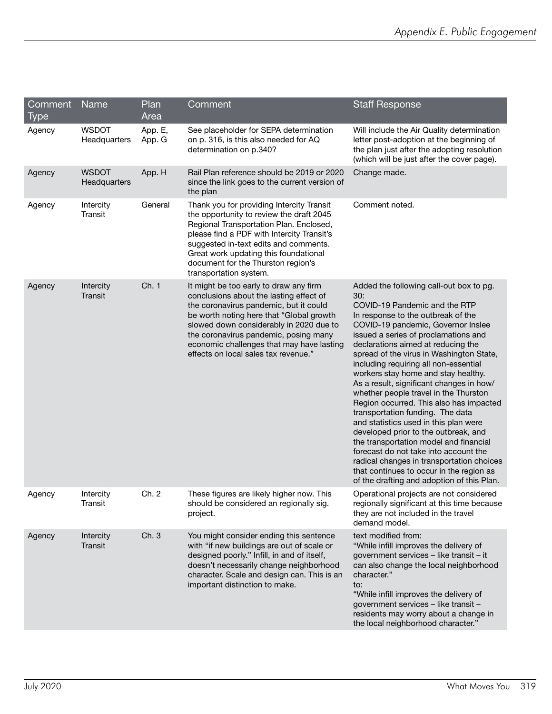| Comment<br>Type | Name                         | Plan<br>Area      | Comment                                                                                                                                                                                                                                                                                                                                          | <b>Staff Response</b>                                                                                                                                                                                                                                                                                                                                                                                                                                                                                                                                                                                                                                                                                                                                                                                                                                |
|-----------------|------------------------------|-------------------|--------------------------------------------------------------------------------------------------------------------------------------------------------------------------------------------------------------------------------------------------------------------------------------------------------------------------------------------------|------------------------------------------------------------------------------------------------------------------------------------------------------------------------------------------------------------------------------------------------------------------------------------------------------------------------------------------------------------------------------------------------------------------------------------------------------------------------------------------------------------------------------------------------------------------------------------------------------------------------------------------------------------------------------------------------------------------------------------------------------------------------------------------------------------------------------------------------------|
| Agency          | <b>WSDOT</b><br>Headquarters | App. E,<br>App. G | See placeholder for SEPA determination<br>on p. 316, is this also needed for AQ<br>determination on p.340?                                                                                                                                                                                                                                       | Will include the Air Quality determination<br>letter post-adoption at the beginning of<br>the plan just after the adopting resolution<br>(which will be just after the cover page).                                                                                                                                                                                                                                                                                                                                                                                                                                                                                                                                                                                                                                                                  |
| Agency          | <b>WSDOT</b><br>Headquarters | App. H            | Rail Plan reference should be 2019 or 2020<br>since the link goes to the current version of<br>the plan                                                                                                                                                                                                                                          | Change made.                                                                                                                                                                                                                                                                                                                                                                                                                                                                                                                                                                                                                                                                                                                                                                                                                                         |
| Agency          | Intercity<br>Transit         | General           | Thank you for providing Intercity Transit<br>the opportunity to review the draft 2045<br>Regional Transportation Plan. Enclosed,<br>please find a PDF with Intercity Transit's<br>suggested in-text edits and comments.<br>Great work updating this foundational<br>document for the Thurston region's<br>transportation system.                 | Comment noted.                                                                                                                                                                                                                                                                                                                                                                                                                                                                                                                                                                                                                                                                                                                                                                                                                                       |
| Agency          | Intercity<br>Transit         | Ch. 1             | It might be too early to draw any firm<br>conclusions about the lasting effect of<br>the coronavirus pandemic, but it could<br>be worth noting here that "Global growth<br>slowed down considerably in 2020 due to<br>the coronavirus pandemic, posing many<br>economic challenges that may have lasting<br>effects on local sales tax revenue." | Added the following call-out box to pg.<br>30:<br>COVID-19 Pandemic and the RTP<br>In response to the outbreak of the<br>COVID-19 pandemic, Governor Inslee<br>issued a series of proclamations and<br>declarations aimed at reducing the<br>spread of the virus in Washington State,<br>including requiring all non-essential<br>workers stay home and stay healthy.<br>As a result, significant changes in how/<br>whether people travel in the Thurston<br>Region occurred. This also has impacted<br>transportation funding. The data<br>and statistics used in this plan were<br>developed prior to the outbreak, and<br>the transportation model and financial<br>forecast do not take into account the<br>radical changes in transportation choices<br>that continues to occur in the region as<br>of the drafting and adoption of this Plan. |
| Agency          | Intercity<br>Iransıt         | Ch. 2             | These figures are likely higher now. This<br>should be considered an regionally sig.<br>project.                                                                                                                                                                                                                                                 | Operational projects are not considered<br>regionally significant at this time because<br>they are not included in the travel<br>demand model.                                                                                                                                                                                                                                                                                                                                                                                                                                                                                                                                                                                                                                                                                                       |
| Agency          | Intercity<br>Transit         | Ch. 3             | You might consider ending this sentence<br>with "if new buildings are out of scale or<br>designed poorly." Infill, in and of itself,<br>doesn't necessarily change neighborhood<br>character. Scale and design can. This is an<br>important distinction to make.                                                                                 | text modified from:<br>"While infill improves the delivery of<br>government services - like transit - it<br>can also change the local neighborhood<br>character."<br>to:<br>"While infill improves the delivery of<br>government services - like transit -<br>residents may worry about a change in<br>the local neighborhood character."                                                                                                                                                                                                                                                                                                                                                                                                                                                                                                            |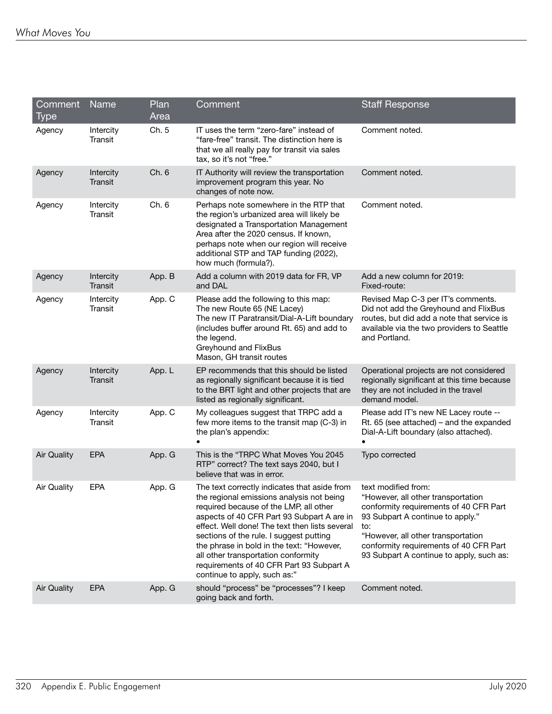| Comment<br><b>Type</b> | Name                        | Plan<br>Area | Comment                                                                                                                                                                                                                                                                                                                                                                                                                                        | <b>Staff Response</b>                                                                                                                                                                                                                                                      |
|------------------------|-----------------------------|--------------|------------------------------------------------------------------------------------------------------------------------------------------------------------------------------------------------------------------------------------------------------------------------------------------------------------------------------------------------------------------------------------------------------------------------------------------------|----------------------------------------------------------------------------------------------------------------------------------------------------------------------------------------------------------------------------------------------------------------------------|
| Agency                 | Intercity<br>Transit        | Ch. 5        | IT uses the term "zero-fare" instead of<br>"fare-free" transit. The distinction here is<br>that we all really pay for transit via sales<br>tax, so it's not "free."                                                                                                                                                                                                                                                                            | Comment noted.                                                                                                                                                                                                                                                             |
| Agency                 | Intercity<br>Transit        | Ch. 6        | IT Authority will review the transportation<br>improvement program this year. No<br>changes of note now.                                                                                                                                                                                                                                                                                                                                       | Comment noted.                                                                                                                                                                                                                                                             |
| Agency                 | Intercity<br>Transit        | Ch. 6        | Perhaps note somewhere in the RTP that<br>the region's urbanized area will likely be<br>designated a Transportation Management<br>Area after the 2020 census. If known,<br>perhaps note when our region will receive<br>additional STP and TAP funding (2022),<br>how much (formula?).                                                                                                                                                         | Comment noted.                                                                                                                                                                                                                                                             |
| Agency                 | Intercity<br><b>Transit</b> | App. B       | Add a column with 2019 data for FR, VP<br>and DAL                                                                                                                                                                                                                                                                                                                                                                                              | Add a new column for 2019:<br>Fixed-route:                                                                                                                                                                                                                                 |
| Agency                 | Intercity<br>Transit        | App. C       | Please add the following to this map:<br>The new Route 65 (NE Lacey)<br>The new IT Paratransit/Dial-A-Lift boundary<br>(includes buffer around Rt. 65) and add to<br>the legend.<br>Greyhound and FlixBus<br>Mason, GH transit routes                                                                                                                                                                                                          | Revised Map C-3 per IT's comments.<br>Did not add the Greyhound and FlixBus<br>routes, but did add a note that service is<br>available via the two providers to Seattle<br>and Portland.                                                                                   |
| Agency                 | Intercity<br><b>Transit</b> | App. L       | EP recommends that this should be listed<br>as regionally significant because it is tied<br>to the BRT light and other projects that are<br>listed as regionally significant.                                                                                                                                                                                                                                                                  | Operational projects are not considered<br>regionally significant at this time because<br>they are not included in the travel<br>demand model.                                                                                                                             |
| Agency                 | Intercity<br>Transit        | App. C       | My colleagues suggest that TRPC add a<br>few more items to the transit map (C-3) in<br>the plan's appendix:                                                                                                                                                                                                                                                                                                                                    | Please add IT's new NE Lacey route --<br>Rt. 65 (see attached) – and the expanded<br>Dial-A-Lift boundary (also attached).<br>$\bullet$                                                                                                                                    |
| <b>Air Quality</b>     | <b>EPA</b>                  | App. G       | This is the "TRPC What Moves You 2045<br>RTP" correct? The text says 2040, but I<br>believe that was in error.                                                                                                                                                                                                                                                                                                                                 | Typo corrected                                                                                                                                                                                                                                                             |
| <b>Air Quality</b>     | <b>EPA</b>                  | App. G       | The text correctly indicates that aside from<br>the regional emissions analysis not being<br>required because of the LMP, all other<br>aspects of 40 CFR Part 93 Subpart A are in<br>effect. Well done! The text then lists several<br>sections of the rule. I suggest putting<br>the phrase in bold in the text: "However,<br>all other transportation conformity<br>requirements of 40 CFR Part 93 Subpart A<br>continue to apply, such as:" | text modified from:<br>"However, all other transportation<br>conformity requirements of 40 CFR Part<br>93 Subpart A continue to apply."<br>to:<br>"However, all other transportation<br>conformity requirements of 40 CFR Part<br>93 Subpart A continue to apply, such as: |
| <b>Air Quality</b>     | <b>EPA</b>                  | App. G       | should "process" be "processes"? I keep<br>going back and forth.                                                                                                                                                                                                                                                                                                                                                                               | Comment noted.                                                                                                                                                                                                                                                             |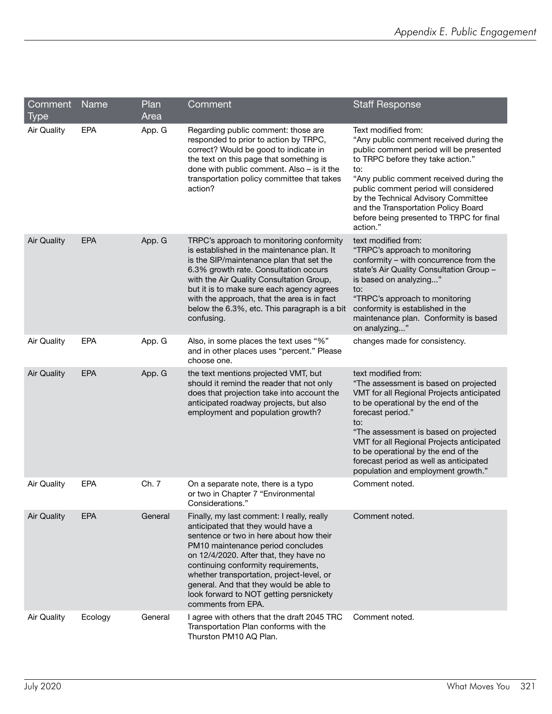| Comment<br>Type    | Name       | Plan<br>Area | Comment                                                                                                                                                                                                                                                                                                                                                                                                    | <b>Staff Response</b>                                                                                                                                                                                                                                                                                                                                                                     |
|--------------------|------------|--------------|------------------------------------------------------------------------------------------------------------------------------------------------------------------------------------------------------------------------------------------------------------------------------------------------------------------------------------------------------------------------------------------------------------|-------------------------------------------------------------------------------------------------------------------------------------------------------------------------------------------------------------------------------------------------------------------------------------------------------------------------------------------------------------------------------------------|
| <b>Air Quality</b> | <b>EPA</b> | App. G       | Regarding public comment: those are<br>responded to prior to action by TRPC,<br>correct? Would be good to indicate in<br>the text on this page that something is<br>done with public comment. Also - is it the<br>transportation policy committee that takes<br>action?                                                                                                                                    | Text modified from:<br>"Any public comment received during the<br>public comment period will be presented<br>to TRPC before they take action."<br>to:<br>"Any public comment received during the<br>public comment period will considered<br>by the Technical Advisory Committee<br>and the Transportation Policy Board<br>before being presented to TRPC for final<br>action."           |
| <b>Air Quality</b> | <b>EPA</b> | App. G       | TRPC's approach to monitoring conformity<br>is established in the maintenance plan. It<br>is the SIP/maintenance plan that set the<br>6.3% growth rate. Consultation occurs<br>with the Air Quality Consultation Group,<br>but it is to make sure each agency agrees<br>with the approach, that the area is in fact<br>below the 6.3%, etc. This paragraph is a bit<br>confusing.                          | text modified from:<br>"TRPC's approach to monitoring<br>conformity - with concurrence from the<br>state's Air Quality Consultation Group -<br>is based on analyzing"<br>to:<br>"TRPC's approach to monitoring<br>conformity is established in the<br>maintenance plan. Conformity is based<br>on analyzing"                                                                              |
| <b>Air Quality</b> | <b>EPA</b> | App. G       | Also, in some places the text uses "%"<br>and in other places uses "percent." Please<br>choose one.                                                                                                                                                                                                                                                                                                        | changes made for consistency.                                                                                                                                                                                                                                                                                                                                                             |
| <b>Air Quality</b> | EPA        | App. G       | the text mentions projected VMT, but<br>should it remind the reader that not only<br>does that projection take into account the<br>anticipated roadway projects, but also<br>employment and population growth?                                                                                                                                                                                             | text modified from:<br>"The assessment is based on projected<br>VMT for all Regional Projects anticipated<br>to be operational by the end of the<br>forecast period."<br>to:<br>"The assessment is based on projected<br>VMT for all Regional Projects anticipated<br>to be operational by the end of the<br>forecast period as well as anticipated<br>population and employment growth." |
| <b>Air Quality</b> | EPA        | Ch. 7        | On a separate note, there is a typo<br>or two in Chapter 7 "Environmental<br>Considerations."                                                                                                                                                                                                                                                                                                              | Comment noted.                                                                                                                                                                                                                                                                                                                                                                            |
| <b>Air Quality</b> | <b>EPA</b> | General      | Finally, my last comment: I really, really<br>anticipated that they would have a<br>sentence or two in here about how their<br>PM10 maintenance period concludes<br>on 12/4/2020. After that, they have no<br>continuing conformity requirements,<br>whether transportation, project-level, or<br>general. And that they would be able to<br>look forward to NOT getting persnickety<br>comments from EPA. | Comment noted.                                                                                                                                                                                                                                                                                                                                                                            |
| Air Quality        | Ecology    | General      | I agree with others that the draft 2045 TRC<br>Transportation Plan conforms with the<br>Thurston PM10 AQ Plan.                                                                                                                                                                                                                                                                                             | Comment noted.                                                                                                                                                                                                                                                                                                                                                                            |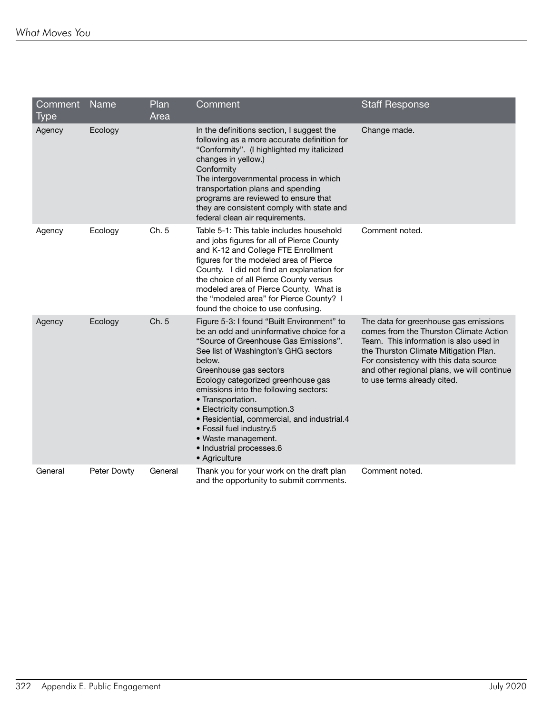| Comment<br><b>Type</b> | Name        | Plan<br>Area | Comment                                                                                                                                                                                                                                                                                                                                                                                                                                                                                       | <b>Staff Response</b>                                                                                                                                                                                                                                                                    |
|------------------------|-------------|--------------|-----------------------------------------------------------------------------------------------------------------------------------------------------------------------------------------------------------------------------------------------------------------------------------------------------------------------------------------------------------------------------------------------------------------------------------------------------------------------------------------------|------------------------------------------------------------------------------------------------------------------------------------------------------------------------------------------------------------------------------------------------------------------------------------------|
| Agency                 | Ecology     |              | In the definitions section, I suggest the<br>following as a more accurate definition for<br>"Conformity". (I highlighted my italicized<br>changes in yellow.)<br>Conformity<br>The intergovernmental process in which<br>transportation plans and spending<br>programs are reviewed to ensure that<br>they are consistent comply with state and<br>federal clean air requirements.                                                                                                            | Change made.                                                                                                                                                                                                                                                                             |
| Agency                 | Ecology     | Ch. 5        | Table 5-1: This table includes household<br>and jobs figures for all of Pierce County<br>and K-12 and College FTE Enrollment<br>figures for the modeled area of Pierce<br>County. I did not find an explanation for<br>the choice of all Pierce County versus<br>modeled area of Pierce County. What is<br>the "modeled area" for Pierce County? I<br>found the choice to use confusing.                                                                                                      | Comment noted.                                                                                                                                                                                                                                                                           |
| Agency                 | Ecology     | Ch. 5        | Figure 5-3: I found "Built Environment" to<br>be an odd and uninformative choice for a<br>"Source of Greenhouse Gas Emissions".<br>See list of Washington's GHG sectors<br>below.<br>Greenhouse gas sectors<br>Ecology categorized greenhouse gas<br>emissions into the following sectors:<br>• Transportation.<br>• Electricity consumption.3<br>• Residential, commercial, and industrial.4<br>• Fossil fuel industry.5<br>• Waste management.<br>· Industrial processes.6<br>• Agriculture | The data for greenhouse gas emissions<br>comes from the Thurston Climate Action<br>Team. This information is also used in<br>the Thurston Climate Mitigation Plan.<br>For consistency with this data source<br>and other regional plans, we will continue<br>to use terms already cited. |
| General                | Peter Dowty | General      | Thank you for your work on the draft plan<br>and the opportunity to submit comments.                                                                                                                                                                                                                                                                                                                                                                                                          | Comment noted.                                                                                                                                                                                                                                                                           |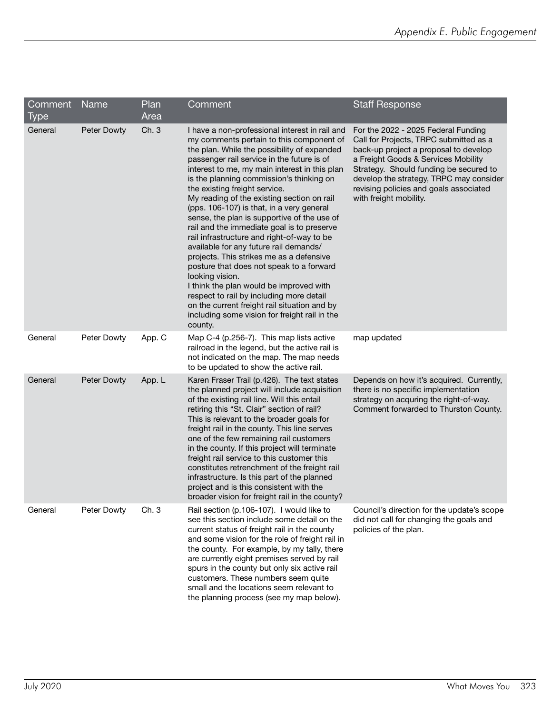| Comment<br>Type | Name        | Plan<br>Area | Comment                                                                                                                                                                                                                                                                                                                                                                                                                                                                                                                                                                                                                                                                                                                                                                                                                                                                                                             | <b>Staff Response</b>                                                                                                                                                                                                                                                                                                  |
|-----------------|-------------|--------------|---------------------------------------------------------------------------------------------------------------------------------------------------------------------------------------------------------------------------------------------------------------------------------------------------------------------------------------------------------------------------------------------------------------------------------------------------------------------------------------------------------------------------------------------------------------------------------------------------------------------------------------------------------------------------------------------------------------------------------------------------------------------------------------------------------------------------------------------------------------------------------------------------------------------|------------------------------------------------------------------------------------------------------------------------------------------------------------------------------------------------------------------------------------------------------------------------------------------------------------------------|
| General         | Peter Dowty | Ch. 3        | I have a non-professional interest in rail and<br>my comments pertain to this component of<br>the plan. While the possibility of expanded<br>passenger rail service in the future is of<br>interest to me, my main interest in this plan<br>is the planning commission's thinking on<br>the existing freight service.<br>My reading of the existing section on rail<br>(pps. 106-107) is that, in a very general<br>sense, the plan is supportive of the use of<br>rail and the immediate goal is to preserve<br>rail infrastructure and right-of-way to be<br>available for any future rail demands/<br>projects. This strikes me as a defensive<br>posture that does not speak to a forward<br>looking vision.<br>I think the plan would be improved with<br>respect to rail by including more detail<br>on the current freight rail situation and by<br>including some vision for freight rail in the<br>county. | For the 2022 - 2025 Federal Funding<br>Call for Projects, TRPC submitted as a<br>back-up project a proposal to develop<br>a Freight Goods & Services Mobility<br>Strategy. Should funding be secured to<br>develop the strategy, TRPC may consider<br>revising policies and goals associated<br>with freight mobility. |
| General         | Peter Dowty | App. C       | Map C-4 (p.256-7). This map lists active<br>railroad in the legend, but the active rail is<br>not indicated on the map. The map needs<br>to be updated to show the active rail.                                                                                                                                                                                                                                                                                                                                                                                                                                                                                                                                                                                                                                                                                                                                     | map updated                                                                                                                                                                                                                                                                                                            |
| General         | Peter Dowty | App. L       | Karen Fraser Trail (p.426). The text states<br>the planned project will include acquisition<br>of the existing rail line. Will this entail<br>retiring this "St. Clair" section of rail?<br>This is relevant to the broader goals for<br>freight rail in the county. This line serves<br>one of the few remaining rail customers<br>in the county. If this project will terminate<br>freight rail service to this customer this<br>constitutes retrenchment of the freight rail<br>infrastructure. Is this part of the planned<br>project and is this consistent with the<br>broader vision for freight rail in the county?                                                                                                                                                                                                                                                                                         | Depends on how it's acquired. Currently,<br>there is no specific implementation<br>strategy on acquring the right-of-way.<br>Comment forwarded to Thurston County.                                                                                                                                                     |
| General         | Peter Dowty | Ch. 3        | Rail section (p.106-107). I would like to<br>see this section include some detail on the<br>current status of freight rail in the county<br>and some vision for the role of freight rail in<br>the county. For example, by my tally, there<br>are currently eight premises served by rail<br>spurs in the county but only six active rail<br>customers. These numbers seem quite<br>small and the locations seem relevant to<br>the planning process (see my map below).                                                                                                                                                                                                                                                                                                                                                                                                                                            | Council's direction for the update's scope<br>did not call for changing the goals and<br>policies of the plan.                                                                                                                                                                                                         |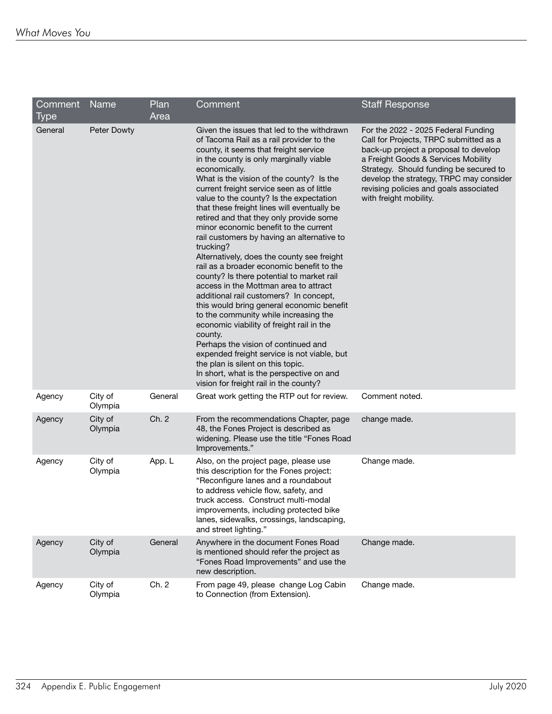| Comment     | Name               | Plan    | Comment                                                                                                                                                                                                                                                                                                                                                                                                                                                                                                                                                                                                                                                                                                                                                                                                                                                                                                                                                                                                                                                                                                                 | <b>Staff Response</b>                                                                                                                                                                                                                                                                                                  |
|-------------|--------------------|---------|-------------------------------------------------------------------------------------------------------------------------------------------------------------------------------------------------------------------------------------------------------------------------------------------------------------------------------------------------------------------------------------------------------------------------------------------------------------------------------------------------------------------------------------------------------------------------------------------------------------------------------------------------------------------------------------------------------------------------------------------------------------------------------------------------------------------------------------------------------------------------------------------------------------------------------------------------------------------------------------------------------------------------------------------------------------------------------------------------------------------------|------------------------------------------------------------------------------------------------------------------------------------------------------------------------------------------------------------------------------------------------------------------------------------------------------------------------|
| <b>Type</b> |                    | Area    |                                                                                                                                                                                                                                                                                                                                                                                                                                                                                                                                                                                                                                                                                                                                                                                                                                                                                                                                                                                                                                                                                                                         |                                                                                                                                                                                                                                                                                                                        |
| General     | Peter Dowty        |         | Given the issues that led to the withdrawn<br>of Tacoma Rail as a rail provider to the<br>county, it seems that freight service<br>in the county is only marginally viable<br>economically.<br>What is the vision of the county? Is the<br>current freight service seen as of little<br>value to the county? Is the expectation<br>that these freight lines will eventually be<br>retired and that they only provide some<br>minor economic benefit to the current<br>rail customers by having an alternative to<br>trucking?<br>Alternatively, does the county see freight<br>rail as a broader economic benefit to the<br>county? Is there potential to market rail<br>access in the Mottman area to attract<br>additional rail customers? In concept,<br>this would bring general economic benefit<br>to the community while increasing the<br>economic viability of freight rail in the<br>county.<br>Perhaps the vision of continued and<br>expended freight service is not viable, but<br>the plan is silent on this topic.<br>In short, what is the perspective on and<br>vision for freight rail in the county? | For the 2022 - 2025 Federal Funding<br>Call for Projects, TRPC submitted as a<br>back-up project a proposal to develop<br>a Freight Goods & Services Mobility<br>Strategy. Should funding be secured to<br>develop the strategy, TRPC may consider<br>revising policies and goals associated<br>with freight mobility. |
| Agency      | City of<br>Olympia | General | Great work getting the RTP out for review.                                                                                                                                                                                                                                                                                                                                                                                                                                                                                                                                                                                                                                                                                                                                                                                                                                                                                                                                                                                                                                                                              | Comment noted.                                                                                                                                                                                                                                                                                                         |
| Agency      | City of<br>Olympia | Ch. 2   | From the recommendations Chapter, page<br>48, the Fones Project is described as<br>widening. Please use the title "Fones Road<br>Improvements."                                                                                                                                                                                                                                                                                                                                                                                                                                                                                                                                                                                                                                                                                                                                                                                                                                                                                                                                                                         | change made.                                                                                                                                                                                                                                                                                                           |
| Agency      | City of<br>Olympia | App. L  | Also, on the project page, please use<br>this description for the Fones project:<br>"Reconfigure lanes and a roundabout<br>to address vehicle flow, safety, and<br>truck access. Construct multi-modal<br>improvements, including protected bike<br>lanes, sidewalks, crossings, landscaping,<br>and street lighting."                                                                                                                                                                                                                                                                                                                                                                                                                                                                                                                                                                                                                                                                                                                                                                                                  | Change made.                                                                                                                                                                                                                                                                                                           |
| Agency      | City of<br>Olympia | General | Anywhere in the document Fones Road<br>is mentioned should refer the project as<br>"Fones Road Improvements" and use the<br>new description.                                                                                                                                                                                                                                                                                                                                                                                                                                                                                                                                                                                                                                                                                                                                                                                                                                                                                                                                                                            | Change made.                                                                                                                                                                                                                                                                                                           |
| Agency      | City of<br>Olympia | Ch. 2   | From page 49, please change Log Cabin<br>to Connection (from Extension).                                                                                                                                                                                                                                                                                                                                                                                                                                                                                                                                                                                                                                                                                                                                                                                                                                                                                                                                                                                                                                                | Change made.                                                                                                                                                                                                                                                                                                           |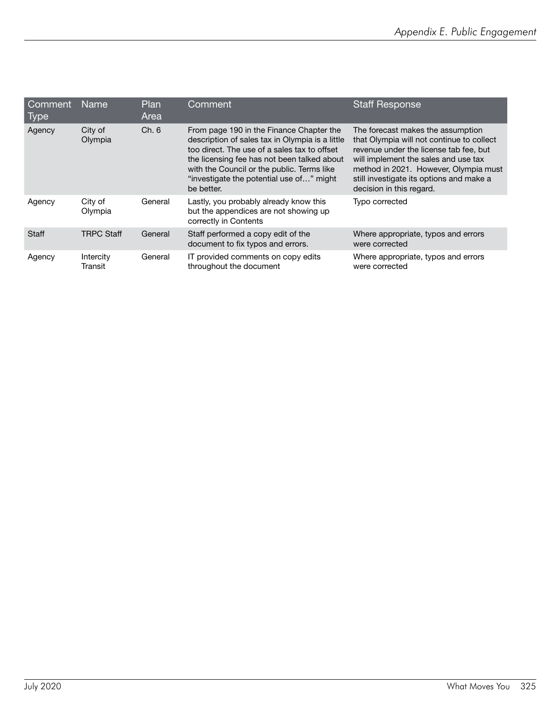| l Comment<br>Type | <b>Name</b>          | Plan<br>Area | Comment                                                                                                                                                                                                                                                                                            | <b>Staff Response</b>                                                                                                                                                                                                                                                             |
|-------------------|----------------------|--------------|----------------------------------------------------------------------------------------------------------------------------------------------------------------------------------------------------------------------------------------------------------------------------------------------------|-----------------------------------------------------------------------------------------------------------------------------------------------------------------------------------------------------------------------------------------------------------------------------------|
| Agency            | City of<br>Olympia   | Ch. 6        | From page 190 in the Finance Chapter the<br>description of sales tax in Olympia is a little<br>too direct. The use of a sales tax to offset<br>the licensing fee has not been talked about<br>with the Council or the public. Terms like<br>"investigate the potential use of" might<br>be better. | The forecast makes the assumption<br>that Olympia will not continue to collect<br>revenue under the license tab fee, but<br>will implement the sales and use tax<br>method in 2021. However, Olympia must<br>still investigate its options and make a<br>decision in this regard. |
| Agency            | City of<br>Olympia   | General      | Lastly, you probably already know this<br>but the appendices are not showing up<br>correctly in Contents                                                                                                                                                                                           | Typo corrected                                                                                                                                                                                                                                                                    |
| <b>Staff</b>      | <b>TRPC Staff</b>    | General      | Staff performed a copy edit of the<br>document to fix typos and errors.                                                                                                                                                                                                                            | Where appropriate, typos and errors<br>were corrected                                                                                                                                                                                                                             |
| Agency            | Intercity<br>Transit | General      | IT provided comments on copy edits<br>throughout the document                                                                                                                                                                                                                                      | Where appropriate, typos and errors<br>were corrected                                                                                                                                                                                                                             |